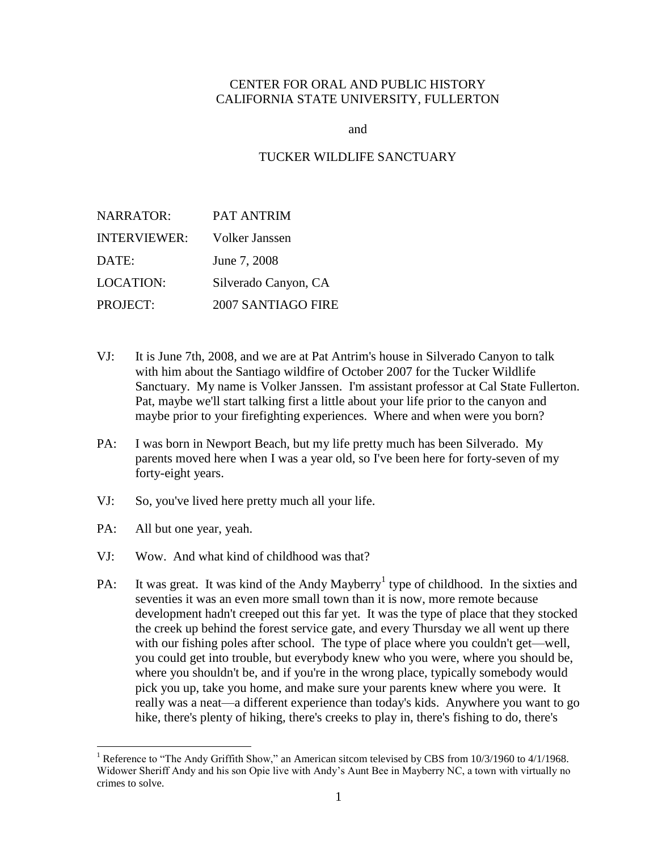# CENTER FOR ORAL AND PUBLIC HISTORY CALIFORNIA STATE UNIVERSITY, FULLERTON

and

#### TUCKER WILDLIFE SANCTUARY

| <b>NARRATOR:</b>    | PAT ANTRIM                |
|---------------------|---------------------------|
| <b>INTERVIEWER:</b> | Volker Janssen            |
| DATE:               | June 7, 2008              |
| <b>LOCATION:</b>    | Silverado Canyon, CA      |
| PROJECT:            | <b>2007 SANTIAGO FIRE</b> |

- VJ: It is June 7th, 2008, and we are at Pat Antrim's house in Silverado Canyon to talk with him about the Santiago wildfire of October 2007 for the Tucker Wildlife Sanctuary. My name is Volker Janssen. I'm assistant professor at Cal State Fullerton. Pat, maybe we'll start talking first a little about your life prior to the canyon and maybe prior to your firefighting experiences. Where and when were you born?
- PA: I was born in Newport Beach, but my life pretty much has been Silverado. My parents moved here when I was a year old, so I've been here for forty-seven of my forty-eight years.
- VJ: So, you've lived here pretty much all your life.
- PA: All but one year, yeah.

 $\overline{a}$ 

- VJ: Wow. And what kind of childhood was that?
- PA: It was great. It was kind of the Andy Mayberry<sup>1</sup> type of childhood. In the sixties and seventies it was an even more small town than it is now, more remote because development hadn't creeped out this far yet. It was the type of place that they stocked the creek up behind the forest service gate, and every Thursday we all went up there with our fishing poles after school. The type of place where you couldn't get—well, you could get into trouble, but everybody knew who you were, where you should be, where you shouldn't be, and if you're in the wrong place, typically somebody would pick you up, take you home, and make sure your parents knew where you were. It really was a neat—a different experience than today's kids. Anywhere you want to go hike, there's plenty of hiking, there's creeks to play in, there's fishing to do, there's

<sup>&</sup>lt;sup>1</sup> Reference to "The Andy Griffith Show," an American sitcom televised by CBS from  $10/3/1960$  to  $4/1/1968$ . Widower Sheriff Andy and his son Opie live with Andy's Aunt Bee in Mayberry NC, a town with virtually no crimes to solve.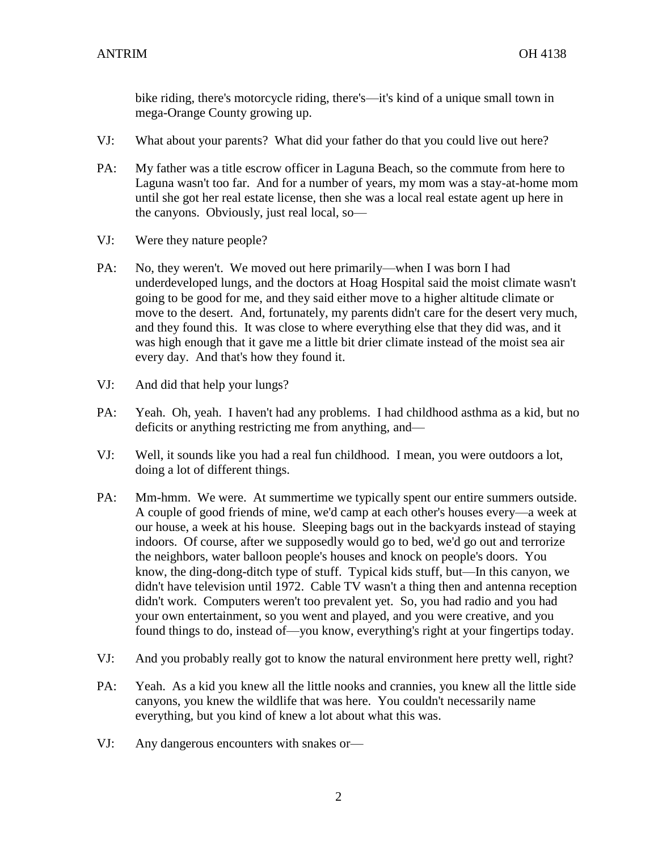bike riding, there's motorcycle riding, there's—it's kind of a unique small town in mega-Orange County growing up.

- VJ: What about your parents? What did your father do that you could live out here?
- PA: My father was a title escrow officer in Laguna Beach, so the commute from here to Laguna wasn't too far. And for a number of years, my mom was a stay-at-home mom until she got her real estate license, then she was a local real estate agent up here in the canyons. Obviously, just real local, so—
- VJ: Were they nature people?
- PA: No, they weren't. We moved out here primarily—when I was born I had underdeveloped lungs, and the doctors at Hoag Hospital said the moist climate wasn't going to be good for me, and they said either move to a higher altitude climate or move to the desert. And, fortunately, my parents didn't care for the desert very much, and they found this. It was close to where everything else that they did was, and it was high enough that it gave me a little bit drier climate instead of the moist sea air every day. And that's how they found it.
- VJ: And did that help your lungs?
- PA: Yeah. Oh, yeah. I haven't had any problems. I had childhood asthma as a kid, but no deficits or anything restricting me from anything, and—
- VJ: Well, it sounds like you had a real fun childhood. I mean, you were outdoors a lot, doing a lot of different things.
- PA: Mm-hmm. We were. At summertime we typically spent our entire summers outside. A couple of good friends of mine, we'd camp at each other's houses every—a week at our house, a week at his house. Sleeping bags out in the backyards instead of staying indoors. Of course, after we supposedly would go to bed, we'd go out and terrorize the neighbors, water balloon people's houses and knock on people's doors. You know, the ding-dong-ditch type of stuff. Typical kids stuff, but—In this canyon, we didn't have television until 1972. Cable TV wasn't a thing then and antenna reception didn't work. Computers weren't too prevalent yet. So, you had radio and you had your own entertainment, so you went and played, and you were creative, and you found things to do, instead of—you know, everything's right at your fingertips today.
- VJ: And you probably really got to know the natural environment here pretty well, right?
- PA: Yeah. As a kid you knew all the little nooks and crannies, you knew all the little side canyons, you knew the wildlife that was here. You couldn't necessarily name everything, but you kind of knew a lot about what this was.
- VJ: Any dangerous encounters with snakes or—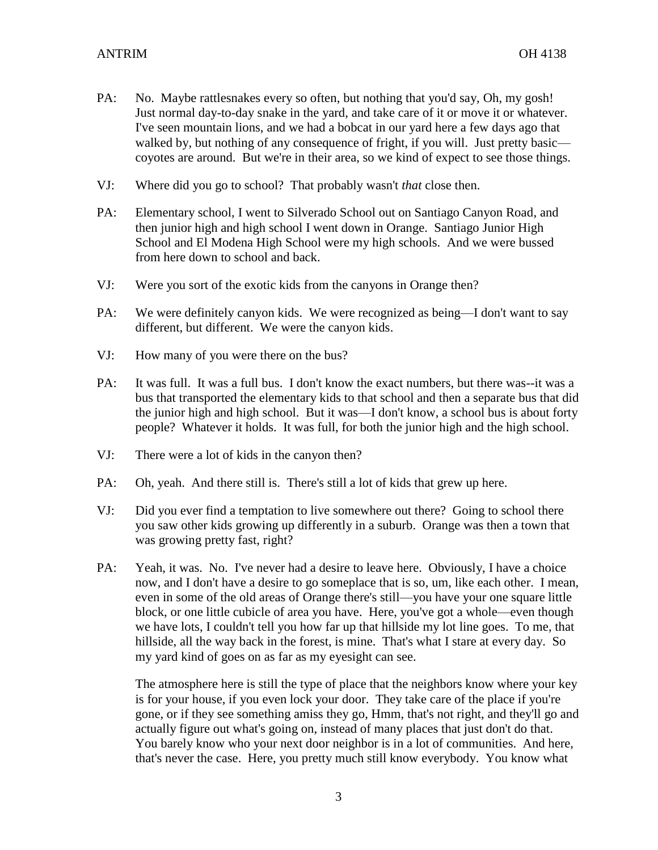- PA: No. Maybe rattlesnakes every so often, but nothing that you'd say, Oh, my gosh! Just normal day-to-day snake in the yard, and take care of it or move it or whatever. I've seen mountain lions, and we had a bobcat in our yard here a few days ago that walked by, but nothing of any consequence of fright, if you will. Just pretty basic coyotes are around. But we're in their area, so we kind of expect to see those things.
- VJ: Where did you go to school? That probably wasn't *that* close then.
- PA: Elementary school, I went to Silverado School out on Santiago Canyon Road, and then junior high and high school I went down in Orange. Santiago Junior High School and El Modena High School were my high schools. And we were bussed from here down to school and back.
- VJ: Were you sort of the exotic kids from the canyons in Orange then?
- PA: We were definitely canyon kids. We were recognized as being—I don't want to say different, but different. We were the canyon kids.
- VJ: How many of you were there on the bus?
- PA: It was full. It was a full bus. I don't know the exact numbers, but there was--it was a bus that transported the elementary kids to that school and then a separate bus that did the junior high and high school. But it was—I don't know, a school bus is about forty people? Whatever it holds. It was full, for both the junior high and the high school.
- VJ: There were a lot of kids in the canyon then?
- PA: Oh, yeah. And there still is. There's still a lot of kids that grew up here.
- VJ: Did you ever find a temptation to live somewhere out there? Going to school there you saw other kids growing up differently in a suburb. Orange was then a town that was growing pretty fast, right?
- PA: Yeah, it was. No. I've never had a desire to leave here. Obviously, I have a choice now, and I don't have a desire to go someplace that is so, um, like each other. I mean, even in some of the old areas of Orange there's still—you have your one square little block, or one little cubicle of area you have. Here, you've got a whole—even though we have lots, I couldn't tell you how far up that hillside my lot line goes. To me, that hillside, all the way back in the forest, is mine. That's what I stare at every day. So my yard kind of goes on as far as my eyesight can see.

The atmosphere here is still the type of place that the neighbors know where your key is for your house, if you even lock your door. They take care of the place if you're gone, or if they see something amiss they go, Hmm, that's not right, and they'll go and actually figure out what's going on, instead of many places that just don't do that. You barely know who your next door neighbor is in a lot of communities. And here, that's never the case. Here, you pretty much still know everybody. You know what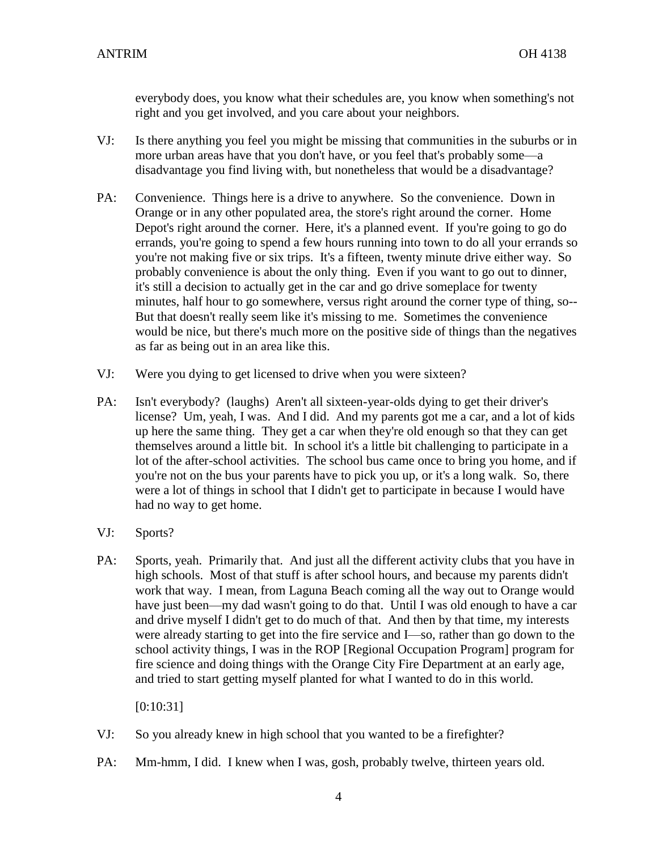everybody does, you know what their schedules are, you know when something's not right and you get involved, and you care about your neighbors.

- VJ: Is there anything you feel you might be missing that communities in the suburbs or in more urban areas have that you don't have, or you feel that's probably some—a disadvantage you find living with, but nonetheless that would be a disadvantage?
- PA: Convenience. Things here is a drive to anywhere. So the convenience. Down in Orange or in any other populated area, the store's right around the corner. Home Depot's right around the corner. Here, it's a planned event. If you're going to go do errands, you're going to spend a few hours running into town to do all your errands so you're not making five or six trips. It's a fifteen, twenty minute drive either way. So probably convenience is about the only thing. Even if you want to go out to dinner, it's still a decision to actually get in the car and go drive someplace for twenty minutes, half hour to go somewhere, versus right around the corner type of thing, so-- But that doesn't really seem like it's missing to me. Sometimes the convenience would be nice, but there's much more on the positive side of things than the negatives as far as being out in an area like this.
- VJ: Were you dying to get licensed to drive when you were sixteen?
- PA: Isn't everybody? (laughs) Aren't all sixteen-year-olds dying to get their driver's license? Um, yeah, I was. And I did. And my parents got me a car, and a lot of kids up here the same thing. They get a car when they're old enough so that they can get themselves around a little bit. In school it's a little bit challenging to participate in a lot of the after-school activities. The school bus came once to bring you home, and if you're not on the bus your parents have to pick you up, or it's a long walk. So, there were a lot of things in school that I didn't get to participate in because I would have had no way to get home.
- VJ: Sports?
- PA: Sports, yeah. Primarily that. And just all the different activity clubs that you have in high schools. Most of that stuff is after school hours, and because my parents didn't work that way. I mean, from Laguna Beach coming all the way out to Orange would have just been—my dad wasn't going to do that. Until I was old enough to have a car and drive myself I didn't get to do much of that. And then by that time, my interests were already starting to get into the fire service and I—so, rather than go down to the school activity things, I was in the ROP [Regional Occupation Program] program for fire science and doing things with the Orange City Fire Department at an early age, and tried to start getting myself planted for what I wanted to do in this world.

[0:10:31]

- VJ: So you already knew in high school that you wanted to be a firefighter?
- PA: Mm-hmm, I did. I knew when I was, gosh, probably twelve, thirteen years old.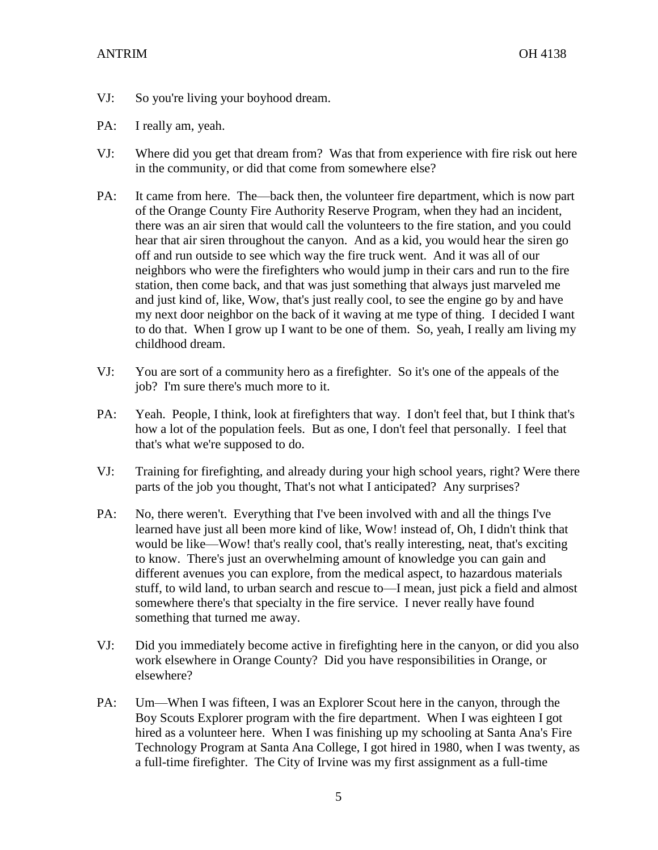## ANTRIM OH 4138

- VJ: So you're living your boyhood dream.
- PA: I really am, yeah.
- VJ: Where did you get that dream from? Was that from experience with fire risk out here in the community, or did that come from somewhere else?
- PA: It came from here. The—back then, the volunteer fire department, which is now part of the Orange County Fire Authority Reserve Program, when they had an incident, there was an air siren that would call the volunteers to the fire station, and you could hear that air siren throughout the canyon. And as a kid, you would hear the siren go off and run outside to see which way the fire truck went. And it was all of our neighbors who were the firefighters who would jump in their cars and run to the fire station, then come back, and that was just something that always just marveled me and just kind of, like, Wow, that's just really cool, to see the engine go by and have my next door neighbor on the back of it waving at me type of thing. I decided I want to do that. When I grow up I want to be one of them. So, yeah, I really am living my childhood dream.
- VJ: You are sort of a community hero as a firefighter. So it's one of the appeals of the job? I'm sure there's much more to it.
- PA: Yeah. People, I think, look at firefighters that way. I don't feel that, but I think that's how a lot of the population feels. But as one, I don't feel that personally. I feel that that's what we're supposed to do.
- VJ: Training for firefighting, and already during your high school years, right? Were there parts of the job you thought, That's not what I anticipated? Any surprises?
- PA: No, there weren't. Everything that I've been involved with and all the things I've learned have just all been more kind of like, Wow! instead of, Oh, I didn't think that would be like—Wow! that's really cool, that's really interesting, neat, that's exciting to know. There's just an overwhelming amount of knowledge you can gain and different avenues you can explore, from the medical aspect, to hazardous materials stuff, to wild land, to urban search and rescue to—I mean, just pick a field and almost somewhere there's that specialty in the fire service. I never really have found something that turned me away.
- VJ: Did you immediately become active in firefighting here in the canyon, or did you also work elsewhere in Orange County? Did you have responsibilities in Orange, or elsewhere?
- PA: Um—When I was fifteen, I was an Explorer Scout here in the canyon, through the Boy Scouts Explorer program with the fire department. When I was eighteen I got hired as a volunteer here. When I was finishing up my schooling at Santa Ana's Fire Technology Program at Santa Ana College, I got hired in 1980, when I was twenty, as a full-time firefighter. The City of Irvine was my first assignment as a full-time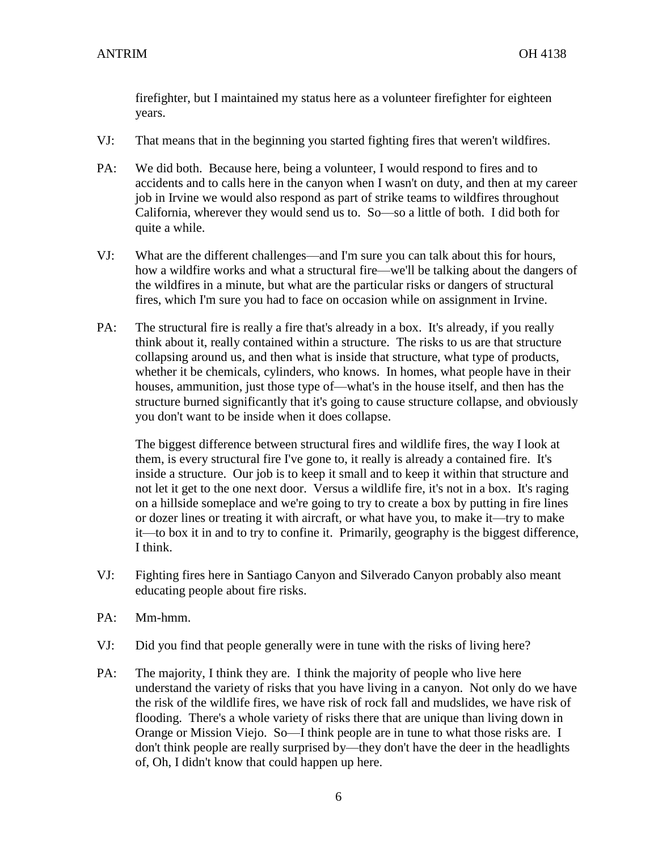firefighter, but I maintained my status here as a volunteer firefighter for eighteen years.

- VJ: That means that in the beginning you started fighting fires that weren't wildfires.
- PA: We did both. Because here, being a volunteer, I would respond to fires and to accidents and to calls here in the canyon when I wasn't on duty, and then at my career job in Irvine we would also respond as part of strike teams to wildfires throughout California, wherever they would send us to. So—so a little of both. I did both for quite a while.
- VJ: What are the different challenges—and I'm sure you can talk about this for hours, how a wildfire works and what a structural fire—we'll be talking about the dangers of the wildfires in a minute, but what are the particular risks or dangers of structural fires, which I'm sure you had to face on occasion while on assignment in Irvine.
- PA: The structural fire is really a fire that's already in a box. It's already, if you really think about it, really contained within a structure. The risks to us are that structure collapsing around us, and then what is inside that structure, what type of products, whether it be chemicals, cylinders, who knows. In homes, what people have in their houses, ammunition, just those type of—what's in the house itself, and then has the structure burned significantly that it's going to cause structure collapse, and obviously you don't want to be inside when it does collapse.

The biggest difference between structural fires and wildlife fires, the way I look at them, is every structural fire I've gone to, it really is already a contained fire. It's inside a structure. Our job is to keep it small and to keep it within that structure and not let it get to the one next door. Versus a wildlife fire, it's not in a box. It's raging on a hillside someplace and we're going to try to create a box by putting in fire lines or dozer lines or treating it with aircraft, or what have you, to make it—try to make it—to box it in and to try to confine it. Primarily, geography is the biggest difference, I think.

- VJ: Fighting fires here in Santiago Canyon and Silverado Canyon probably also meant educating people about fire risks.
- PA: Mm-hmm.
- VJ: Did you find that people generally were in tune with the risks of living here?
- PA: The majority, I think they are. I think the majority of people who live here understand the variety of risks that you have living in a canyon. Not only do we have the risk of the wildlife fires, we have risk of rock fall and mudslides, we have risk of flooding. There's a whole variety of risks there that are unique than living down in Orange or Mission Viejo. So—I think people are in tune to what those risks are. I don't think people are really surprised by—they don't have the deer in the headlights of, Oh, I didn't know that could happen up here.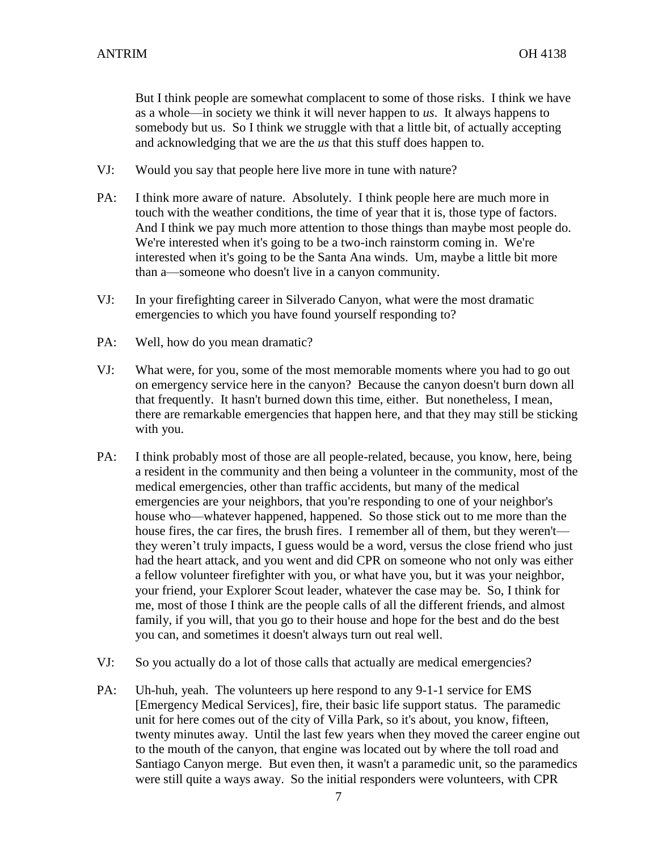But I think people are somewhat complacent to some of those risks. I think we have as a whole—in society we think it will never happen to *us*. It always happens to somebody but us. So I think we struggle with that a little bit, of actually accepting and acknowledging that we are the *us* that this stuff does happen to.

- VJ: Would you say that people here live more in tune with nature?
- PA: I think more aware of nature. Absolutely. I think people here are much more in touch with the weather conditions, the time of year that it is, those type of factors. And I think we pay much more attention to those things than maybe most people do. We're interested when it's going to be a two-inch rainstorm coming in. We're interested when it's going to be the Santa Ana winds. Um, maybe a little bit more than a—someone who doesn't live in a canyon community.
- VJ: In your firefighting career in Silverado Canyon, what were the most dramatic emergencies to which you have found yourself responding to?
- PA: Well, how do you mean dramatic?
- VJ: What were, for you, some of the most memorable moments where you had to go out on emergency service here in the canyon? Because the canyon doesn't burn down all that frequently. It hasn't burned down this time, either. But nonetheless, I mean, there are remarkable emergencies that happen here, and that they may still be sticking with you.
- PA: I think probably most of those are all people-related, because, you know, here, being a resident in the community and then being a volunteer in the community, most of the medical emergencies, other than traffic accidents, but many of the medical emergencies are your neighbors, that you're responding to one of your neighbor's house who—whatever happened, happened. So those stick out to me more than the house fires, the car fires, the brush fires. I remember all of them, but they weren't they weren't truly impacts, I guess would be a word, versus the close friend who just had the heart attack, and you went and did CPR on someone who not only was either a fellow volunteer firefighter with you, or what have you, but it was your neighbor, your friend, your Explorer Scout leader, whatever the case may be. So, I think for me, most of those I think are the people calls of all the different friends, and almost family, if you will, that you go to their house and hope for the best and do the best you can, and sometimes it doesn't always turn out real well.
- VJ: So you actually do a lot of those calls that actually are medical emergencies?
- PA: Uh-huh, yeah. The volunteers up here respond to any 9-1-1 service for EMS [Emergency Medical Services], fire, their basic life support status. The paramedic unit for here comes out of the city of Villa Park, so it's about, you know, fifteen, twenty minutes away. Until the last few years when they moved the career engine out to the mouth of the canyon, that engine was located out by where the toll road and Santiago Canyon merge. But even then, it wasn't a paramedic unit, so the paramedics were still quite a ways away. So the initial responders were volunteers, with CPR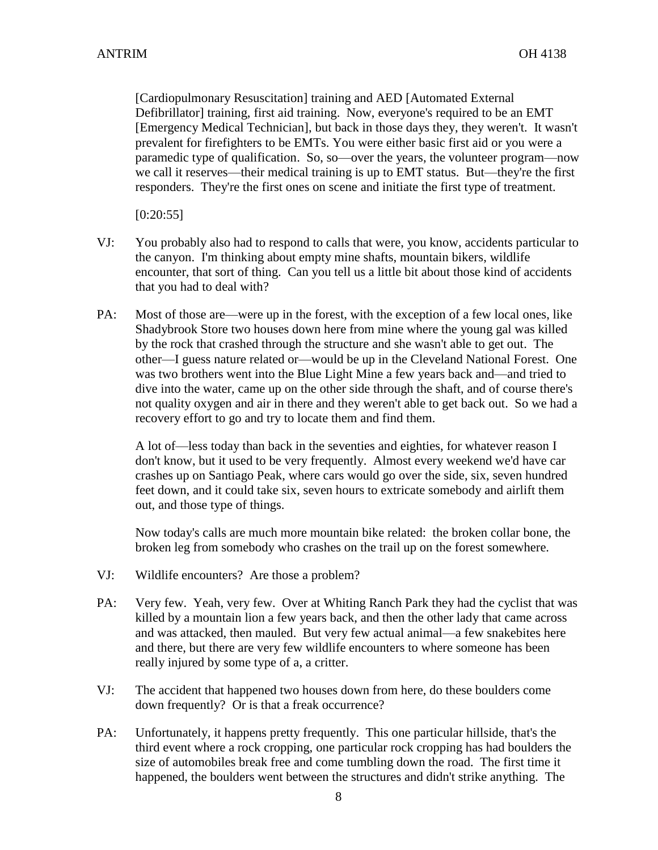[Cardiopulmonary Resuscitation] training and AED [Automated External Defibrillator] training, first aid training. Now, everyone's required to be an EMT [Emergency Medical Technician], but back in those days they, they weren't. It wasn't prevalent for firefighters to be EMTs. You were either basic first aid or you were a paramedic type of qualification. So, so—over the years, the volunteer program—now we call it reserves—their medical training is up to EMT status. But—they're the first responders. They're the first ones on scene and initiate the first type of treatment.

[0:20:55]

- VJ: You probably also had to respond to calls that were, you know, accidents particular to the canyon. I'm thinking about empty mine shafts, mountain bikers, wildlife encounter, that sort of thing. Can you tell us a little bit about those kind of accidents that you had to deal with?
- PA: Most of those are—were up in the forest, with the exception of a few local ones, like Shadybrook Store two houses down here from mine where the young gal was killed by the rock that crashed through the structure and she wasn't able to get out. The other—I guess nature related or—would be up in the Cleveland National Forest. One was two brothers went into the Blue Light Mine a few years back and—and tried to dive into the water, came up on the other side through the shaft, and of course there's not quality oxygen and air in there and they weren't able to get back out. So we had a recovery effort to go and try to locate them and find them.

A lot of—less today than back in the seventies and eighties, for whatever reason I don't know, but it used to be very frequently. Almost every weekend we'd have car crashes up on Santiago Peak, where cars would go over the side, six, seven hundred feet down, and it could take six, seven hours to extricate somebody and airlift them out, and those type of things.

Now today's calls are much more mountain bike related: the broken collar bone, the broken leg from somebody who crashes on the trail up on the forest somewhere.

- VJ: Wildlife encounters? Are those a problem?
- PA: Very few. Yeah, very few. Over at Whiting Ranch Park they had the cyclist that was killed by a mountain lion a few years back, and then the other lady that came across and was attacked, then mauled. But very few actual animal—a few snakebites here and there, but there are very few wildlife encounters to where someone has been really injured by some type of a, a critter.
- VJ: The accident that happened two houses down from here, do these boulders come down frequently? Or is that a freak occurrence?
- PA: Unfortunately, it happens pretty frequently. This one particular hillside, that's the third event where a rock cropping, one particular rock cropping has had boulders the size of automobiles break free and come tumbling down the road. The first time it happened, the boulders went between the structures and didn't strike anything. The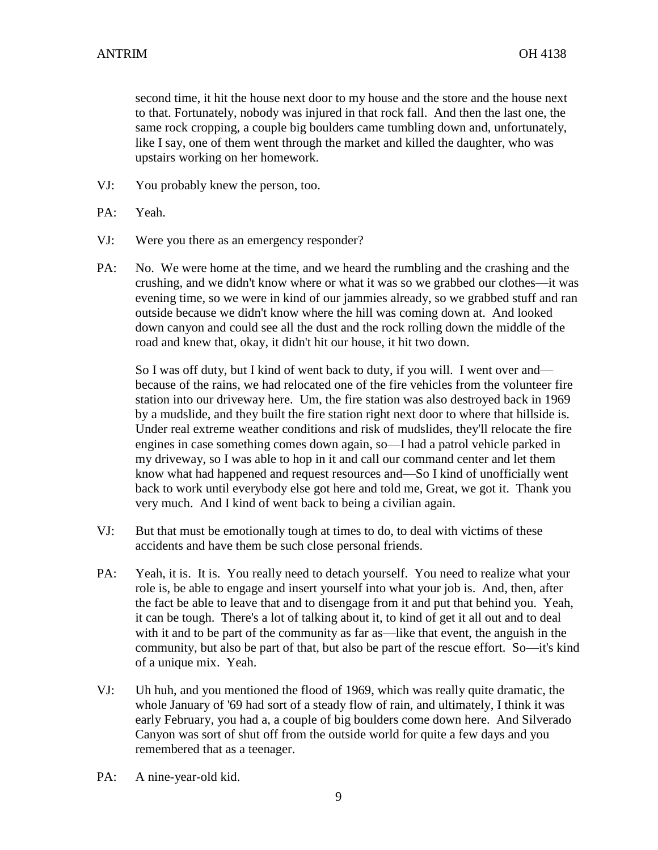second time, it hit the house next door to my house and the store and the house next to that. Fortunately, nobody was injured in that rock fall. And then the last one, the same rock cropping, a couple big boulders came tumbling down and, unfortunately, like I say, one of them went through the market and killed the daughter, who was upstairs working on her homework.

- VJ: You probably knew the person, too.
- PA: Yeah.
- VJ: Were you there as an emergency responder?
- PA: No. We were home at the time, and we heard the rumbling and the crashing and the crushing, and we didn't know where or what it was so we grabbed our clothes—it was evening time, so we were in kind of our jammies already, so we grabbed stuff and ran outside because we didn't know where the hill was coming down at. And looked down canyon and could see all the dust and the rock rolling down the middle of the road and knew that, okay, it didn't hit our house, it hit two down.

So I was off duty, but I kind of went back to duty, if you will. I went over and because of the rains, we had relocated one of the fire vehicles from the volunteer fire station into our driveway here. Um, the fire station was also destroyed back in 1969 by a mudslide, and they built the fire station right next door to where that hillside is. Under real extreme weather conditions and risk of mudslides, they'll relocate the fire engines in case something comes down again, so—I had a patrol vehicle parked in my driveway, so I was able to hop in it and call our command center and let them know what had happened and request resources and—So I kind of unofficially went back to work until everybody else got here and told me, Great, we got it. Thank you very much. And I kind of went back to being a civilian again.

- VJ: But that must be emotionally tough at times to do, to deal with victims of these accidents and have them be such close personal friends.
- PA: Yeah, it is. It is. You really need to detach yourself. You need to realize what your role is, be able to engage and insert yourself into what your job is. And, then, after the fact be able to leave that and to disengage from it and put that behind you. Yeah, it can be tough. There's a lot of talking about it, to kind of get it all out and to deal with it and to be part of the community as far as—like that event, the anguish in the community, but also be part of that, but also be part of the rescue effort. So—it's kind of a unique mix. Yeah.
- VJ: Uh huh, and you mentioned the flood of 1969, which was really quite dramatic, the whole January of '69 had sort of a steady flow of rain, and ultimately, I think it was early February, you had a, a couple of big boulders come down here. And Silverado Canyon was sort of shut off from the outside world for quite a few days and you remembered that as a teenager.
- PA: A nine-year-old kid.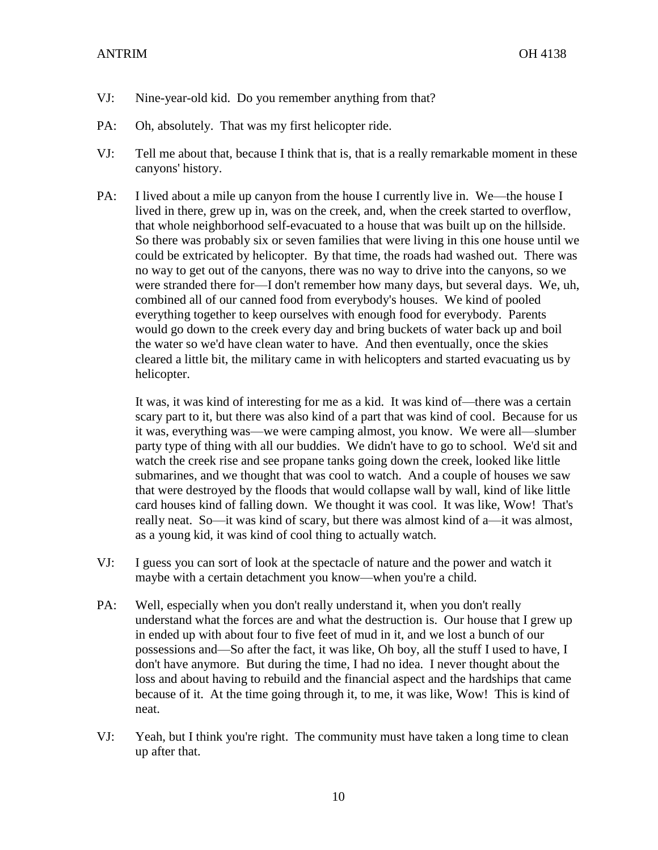#### ANTRIM OH 4138

- VJ: Nine-year-old kid. Do you remember anything from that?
- PA: Oh, absolutely. That was my first helicopter ride.
- VJ: Tell me about that, because I think that is, that is a really remarkable moment in these canyons' history.
- PA: I lived about a mile up canyon from the house I currently live in. We—the house I lived in there, grew up in, was on the creek, and, when the creek started to overflow, that whole neighborhood self-evacuated to a house that was built up on the hillside. So there was probably six or seven families that were living in this one house until we could be extricated by helicopter. By that time, the roads had washed out. There was no way to get out of the canyons, there was no way to drive into the canyons, so we were stranded there for—I don't remember how many days, but several days. We, uh, combined all of our canned food from everybody's houses. We kind of pooled everything together to keep ourselves with enough food for everybody. Parents would go down to the creek every day and bring buckets of water back up and boil the water so we'd have clean water to have. And then eventually, once the skies cleared a little bit, the military came in with helicopters and started evacuating us by helicopter.

It was, it was kind of interesting for me as a kid. It was kind of—there was a certain scary part to it, but there was also kind of a part that was kind of cool. Because for us it was, everything was—we were camping almost, you know. We were all—slumber party type of thing with all our buddies. We didn't have to go to school. We'd sit and watch the creek rise and see propane tanks going down the creek, looked like little submarines, and we thought that was cool to watch. And a couple of houses we saw that were destroyed by the floods that would collapse wall by wall, kind of like little card houses kind of falling down. We thought it was cool. It was like, Wow! That's really neat. So—it was kind of scary, but there was almost kind of a—it was almost, as a young kid, it was kind of cool thing to actually watch.

- VJ: I guess you can sort of look at the spectacle of nature and the power and watch it maybe with a certain detachment you know—when you're a child.
- PA: Well, especially when you don't really understand it, when you don't really understand what the forces are and what the destruction is. Our house that I grew up in ended up with about four to five feet of mud in it, and we lost a bunch of our possessions and—So after the fact, it was like, Oh boy, all the stuff I used to have, I don't have anymore. But during the time, I had no idea. I never thought about the loss and about having to rebuild and the financial aspect and the hardships that came because of it. At the time going through it, to me, it was like, Wow! This is kind of neat.
- VJ: Yeah, but I think you're right. The community must have taken a long time to clean up after that.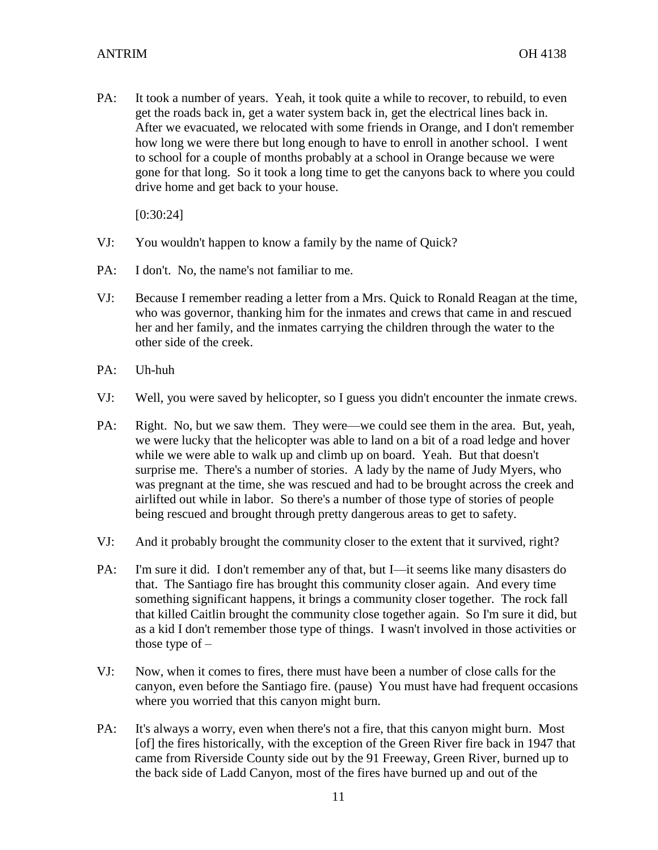PA: It took a number of years. Yeah, it took quite a while to recover, to rebuild, to even get the roads back in, get a water system back in, get the electrical lines back in. After we evacuated, we relocated with some friends in Orange, and I don't remember how long we were there but long enough to have to enroll in another school. I went to school for a couple of months probably at a school in Orange because we were gone for that long. So it took a long time to get the canyons back to where you could drive home and get back to your house.

[0:30:24]

- VJ: You wouldn't happen to know a family by the name of Quick?
- PA: I don't. No, the name's not familiar to me.
- VJ: Because I remember reading a letter from a Mrs. Quick to Ronald Reagan at the time, who was governor, thanking him for the inmates and crews that came in and rescued her and her family, and the inmates carrying the children through the water to the other side of the creek.
- PA: Uh-huh
- VJ: Well, you were saved by helicopter, so I guess you didn't encounter the inmate crews.
- PA: Right. No, but we saw them. They were—we could see them in the area. But, yeah, we were lucky that the helicopter was able to land on a bit of a road ledge and hover while we were able to walk up and climb up on board. Yeah. But that doesn't surprise me. There's a number of stories. A lady by the name of Judy Myers, who was pregnant at the time, she was rescued and had to be brought across the creek and airlifted out while in labor. So there's a number of those type of stories of people being rescued and brought through pretty dangerous areas to get to safety.
- VJ: And it probably brought the community closer to the extent that it survived, right?
- PA: I'm sure it did. I don't remember any of that, but I—it seems like many disasters do that. The Santiago fire has brought this community closer again. And every time something significant happens, it brings a community closer together. The rock fall that killed Caitlin brought the community close together again. So I'm sure it did, but as a kid I don't remember those type of things. I wasn't involved in those activities or those type of  $-$
- VJ: Now, when it comes to fires, there must have been a number of close calls for the canyon, even before the Santiago fire. (pause) You must have had frequent occasions where you worried that this canyon might burn.
- PA: It's always a worry, even when there's not a fire, that this canyon might burn. Most [of] the fires historically, with the exception of the Green River fire back in 1947 that came from Riverside County side out by the 91 Freeway, Green River, burned up to the back side of Ladd Canyon, most of the fires have burned up and out of the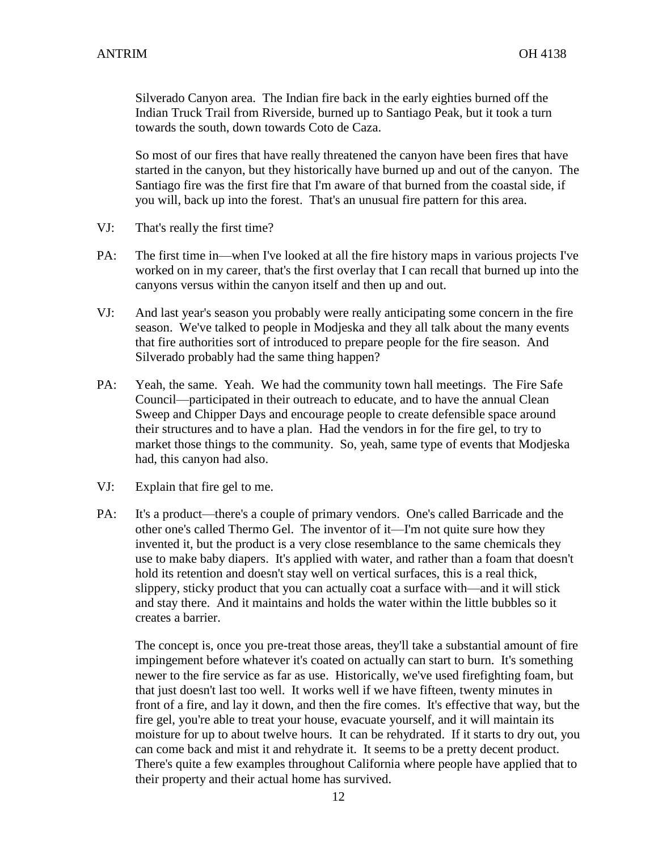Silverado Canyon area. The Indian fire back in the early eighties burned off the Indian Truck Trail from Riverside, burned up to Santiago Peak, but it took a turn towards the south, down towards Coto de Caza.

So most of our fires that have really threatened the canyon have been fires that have started in the canyon, but they historically have burned up and out of the canyon. The Santiago fire was the first fire that I'm aware of that burned from the coastal side, if you will, back up into the forest. That's an unusual fire pattern for this area.

- VJ: That's really the first time?
- PA: The first time in—when I've looked at all the fire history maps in various projects I've worked on in my career, that's the first overlay that I can recall that burned up into the canyons versus within the canyon itself and then up and out.
- VJ: And last year's season you probably were really anticipating some concern in the fire season. We've talked to people in Modjeska and they all talk about the many events that fire authorities sort of introduced to prepare people for the fire season. And Silverado probably had the same thing happen?
- PA: Yeah, the same. Yeah. We had the community town hall meetings. The Fire Safe Council—participated in their outreach to educate, and to have the annual Clean Sweep and Chipper Days and encourage people to create defensible space around their structures and to have a plan. Had the vendors in for the fire gel, to try to market those things to the community. So, yeah, same type of events that Modjeska had, this canyon had also.
- VJ: Explain that fire gel to me.
- PA: It's a product—there's a couple of primary vendors. One's called Barricade and the other one's called Thermo Gel. The inventor of it—I'm not quite sure how they invented it, but the product is a very close resemblance to the same chemicals they use to make baby diapers. It's applied with water, and rather than a foam that doesn't hold its retention and doesn't stay well on vertical surfaces, this is a real thick, slippery, sticky product that you can actually coat a surface with—and it will stick and stay there. And it maintains and holds the water within the little bubbles so it creates a barrier.

The concept is, once you pre-treat those areas, they'll take a substantial amount of fire impingement before whatever it's coated on actually can start to burn. It's something newer to the fire service as far as use. Historically, we've used firefighting foam, but that just doesn't last too well. It works well if we have fifteen, twenty minutes in front of a fire, and lay it down, and then the fire comes. It's effective that way, but the fire gel, you're able to treat your house, evacuate yourself, and it will maintain its moisture for up to about twelve hours. It can be rehydrated. If it starts to dry out, you can come back and mist it and rehydrate it. It seems to be a pretty decent product. There's quite a few examples throughout California where people have applied that to their property and their actual home has survived.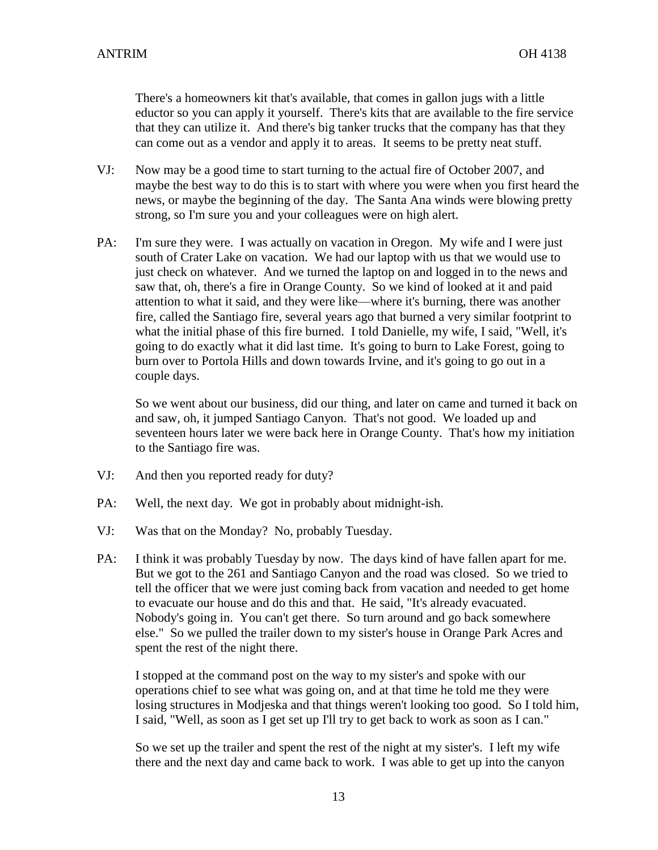There's a homeowners kit that's available, that comes in gallon jugs with a little eductor so you can apply it yourself. There's kits that are available to the fire service that they can utilize it. And there's big tanker trucks that the company has that they can come out as a vendor and apply it to areas. It seems to be pretty neat stuff.

- VJ: Now may be a good time to start turning to the actual fire of October 2007, and maybe the best way to do this is to start with where you were when you first heard the news, or maybe the beginning of the day. The Santa Ana winds were blowing pretty strong, so I'm sure you and your colleagues were on high alert.
- PA: I'm sure they were. I was actually on vacation in Oregon. My wife and I were just south of Crater Lake on vacation. We had our laptop with us that we would use to just check on whatever. And we turned the laptop on and logged in to the news and saw that, oh, there's a fire in Orange County. So we kind of looked at it and paid attention to what it said, and they were like—where it's burning, there was another fire, called the Santiago fire, several years ago that burned a very similar footprint to what the initial phase of this fire burned. I told Danielle, my wife, I said, "Well, it's going to do exactly what it did last time. It's going to burn to Lake Forest, going to burn over to Portola Hills and down towards Irvine, and it's going to go out in a couple days.

So we went about our business, did our thing, and later on came and turned it back on and saw, oh, it jumped Santiago Canyon. That's not good. We loaded up and seventeen hours later we were back here in Orange County. That's how my initiation to the Santiago fire was.

- VJ: And then you reported ready for duty?
- PA: Well, the next day. We got in probably about midnight-ish.
- VJ: Was that on the Monday? No, probably Tuesday.
- PA: I think it was probably Tuesday by now. The days kind of have fallen apart for me. But we got to the 261 and Santiago Canyon and the road was closed. So we tried to tell the officer that we were just coming back from vacation and needed to get home to evacuate our house and do this and that. He said, "It's already evacuated. Nobody's going in. You can't get there. So turn around and go back somewhere else." So we pulled the trailer down to my sister's house in Orange Park Acres and spent the rest of the night there.

I stopped at the command post on the way to my sister's and spoke with our operations chief to see what was going on, and at that time he told me they were losing structures in Modjeska and that things weren't looking too good. So I told him, I said, "Well, as soon as I get set up I'll try to get back to work as soon as I can."

So we set up the trailer and spent the rest of the night at my sister's. I left my wife there and the next day and came back to work. I was able to get up into the canyon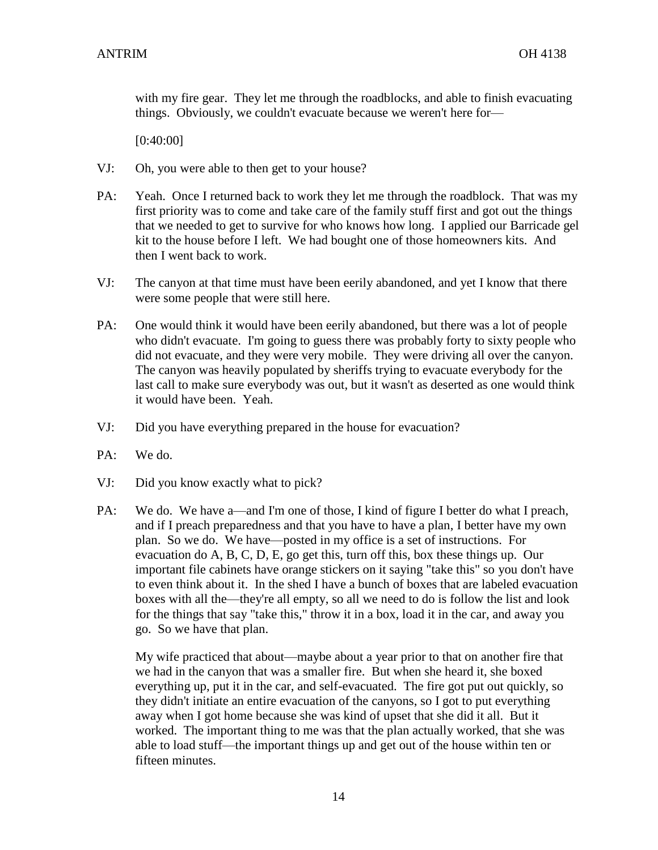with my fire gear. They let me through the roadblocks, and able to finish evacuating things. Obviously, we couldn't evacuate because we weren't here for—

[0:40:00]

- VJ: Oh, you were able to then get to your house?
- PA: Yeah. Once I returned back to work they let me through the roadblock. That was my first priority was to come and take care of the family stuff first and got out the things that we needed to get to survive for who knows how long. I applied our Barricade gel kit to the house before I left. We had bought one of those homeowners kits. And then I went back to work.
- VJ: The canyon at that time must have been eerily abandoned, and yet I know that there were some people that were still here.
- PA: One would think it would have been eerily abandoned, but there was a lot of people who didn't evacuate. I'm going to guess there was probably forty to sixty people who did not evacuate, and they were very mobile. They were driving all over the canyon. The canyon was heavily populated by sheriffs trying to evacuate everybody for the last call to make sure everybody was out, but it wasn't as deserted as one would think it would have been. Yeah.
- VJ: Did you have everything prepared in the house for evacuation?
- PA: We do.
- VJ: Did you know exactly what to pick?
- PA: We do. We have a—and I'm one of those, I kind of figure I better do what I preach, and if I preach preparedness and that you have to have a plan, I better have my own plan. So we do. We have—posted in my office is a set of instructions. For evacuation do A, B, C, D, E, go get this, turn off this, box these things up. Our important file cabinets have orange stickers on it saying "take this" so you don't have to even think about it. In the shed I have a bunch of boxes that are labeled evacuation boxes with all the—they're all empty, so all we need to do is follow the list and look for the things that say "take this," throw it in a box, load it in the car, and away you go. So we have that plan.

My wife practiced that about—maybe about a year prior to that on another fire that we had in the canyon that was a smaller fire. But when she heard it, she boxed everything up, put it in the car, and self-evacuated. The fire got put out quickly, so they didn't initiate an entire evacuation of the canyons, so I got to put everything away when I got home because she was kind of upset that she did it all. But it worked. The important thing to me was that the plan actually worked, that she was able to load stuff—the important things up and get out of the house within ten or fifteen minutes.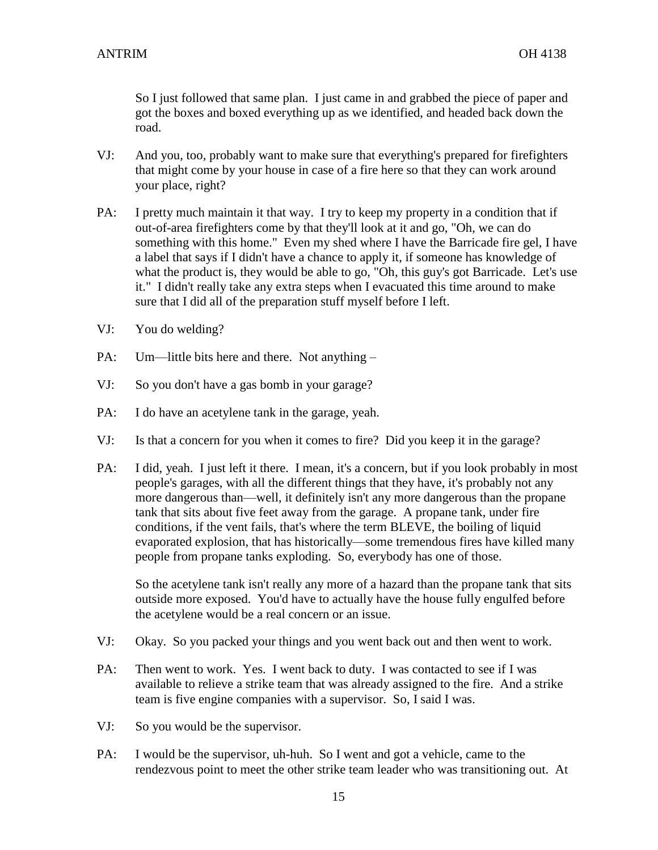So I just followed that same plan. I just came in and grabbed the piece of paper and got the boxes and boxed everything up as we identified, and headed back down the road.

- VJ: And you, too, probably want to make sure that everything's prepared for firefighters that might come by your house in case of a fire here so that they can work around your place, right?
- PA: I pretty much maintain it that way. I try to keep my property in a condition that if out-of-area firefighters come by that they'll look at it and go, "Oh, we can do something with this home." Even my shed where I have the Barricade fire gel, I have a label that says if I didn't have a chance to apply it, if someone has knowledge of what the product is, they would be able to go, "Oh, this guy's got Barricade. Let's use it." I didn't really take any extra steps when I evacuated this time around to make sure that I did all of the preparation stuff myself before I left.
- VJ: You do welding?
- PA: Um—little bits here and there. Not anything –
- VJ: So you don't have a gas bomb in your garage?
- PA: I do have an acetylene tank in the garage, yeah.
- VJ: Is that a concern for you when it comes to fire? Did you keep it in the garage?
- PA: I did, yeah. I just left it there. I mean, it's a concern, but if you look probably in most people's garages, with all the different things that they have, it's probably not any more dangerous than—well, it definitely isn't any more dangerous than the propane tank that sits about five feet away from the garage. A propane tank, under fire conditions, if the vent fails, that's where the term BLEVE, the boiling of liquid evaporated explosion, that has historically—some tremendous fires have killed many people from propane tanks exploding. So, everybody has one of those.

So the acetylene tank isn't really any more of a hazard than the propane tank that sits outside more exposed. You'd have to actually have the house fully engulfed before the acetylene would be a real concern or an issue.

- VJ: Okay. So you packed your things and you went back out and then went to work.
- PA: Then went to work. Yes. I went back to duty. I was contacted to see if I was available to relieve a strike team that was already assigned to the fire. And a strike team is five engine companies with a supervisor. So, I said I was.
- VJ: So you would be the supervisor.
- PA: I would be the supervisor, uh-huh. So I went and got a vehicle, came to the rendezvous point to meet the other strike team leader who was transitioning out. At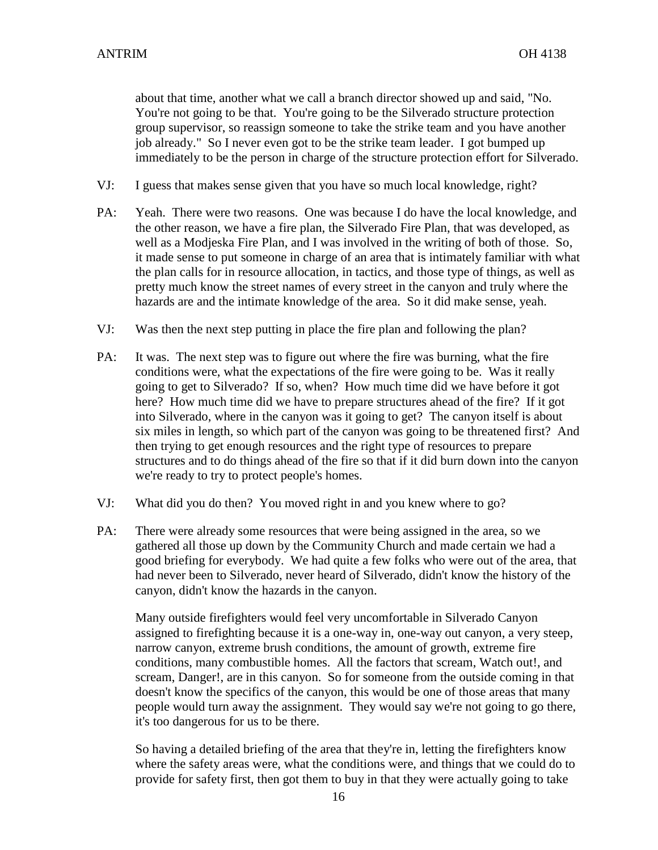about that time, another what we call a branch director showed up and said, "No. You're not going to be that. You're going to be the Silverado structure protection group supervisor, so reassign someone to take the strike team and you have another job already." So I never even got to be the strike team leader. I got bumped up immediately to be the person in charge of the structure protection effort for Silverado.

- VJ: I guess that makes sense given that you have so much local knowledge, right?
- PA: Yeah. There were two reasons. One was because I do have the local knowledge, and the other reason, we have a fire plan, the Silverado Fire Plan, that was developed, as well as a Modjeska Fire Plan, and I was involved in the writing of both of those. So, it made sense to put someone in charge of an area that is intimately familiar with what the plan calls for in resource allocation, in tactics, and those type of things, as well as pretty much know the street names of every street in the canyon and truly where the hazards are and the intimate knowledge of the area. So it did make sense, yeah.
- VJ: Was then the next step putting in place the fire plan and following the plan?
- PA: It was. The next step was to figure out where the fire was burning, what the fire conditions were, what the expectations of the fire were going to be. Was it really going to get to Silverado? If so, when? How much time did we have before it got here? How much time did we have to prepare structures ahead of the fire? If it got into Silverado, where in the canyon was it going to get? The canyon itself is about six miles in length, so which part of the canyon was going to be threatened first? And then trying to get enough resources and the right type of resources to prepare structures and to do things ahead of the fire so that if it did burn down into the canyon we're ready to try to protect people's homes.
- VJ: What did you do then? You moved right in and you knew where to go?
- PA: There were already some resources that were being assigned in the area, so we gathered all those up down by the Community Church and made certain we had a good briefing for everybody. We had quite a few folks who were out of the area, that had never been to Silverado, never heard of Silverado, didn't know the history of the canyon, didn't know the hazards in the canyon.

Many outside firefighters would feel very uncomfortable in Silverado Canyon assigned to firefighting because it is a one-way in, one-way out canyon, a very steep, narrow canyon, extreme brush conditions, the amount of growth, extreme fire conditions, many combustible homes. All the factors that scream, Watch out!, and scream, Danger!, are in this canyon. So for someone from the outside coming in that doesn't know the specifics of the canyon, this would be one of those areas that many people would turn away the assignment. They would say we're not going to go there, it's too dangerous for us to be there.

So having a detailed briefing of the area that they're in, letting the firefighters know where the safety areas were, what the conditions were, and things that we could do to provide for safety first, then got them to buy in that they were actually going to take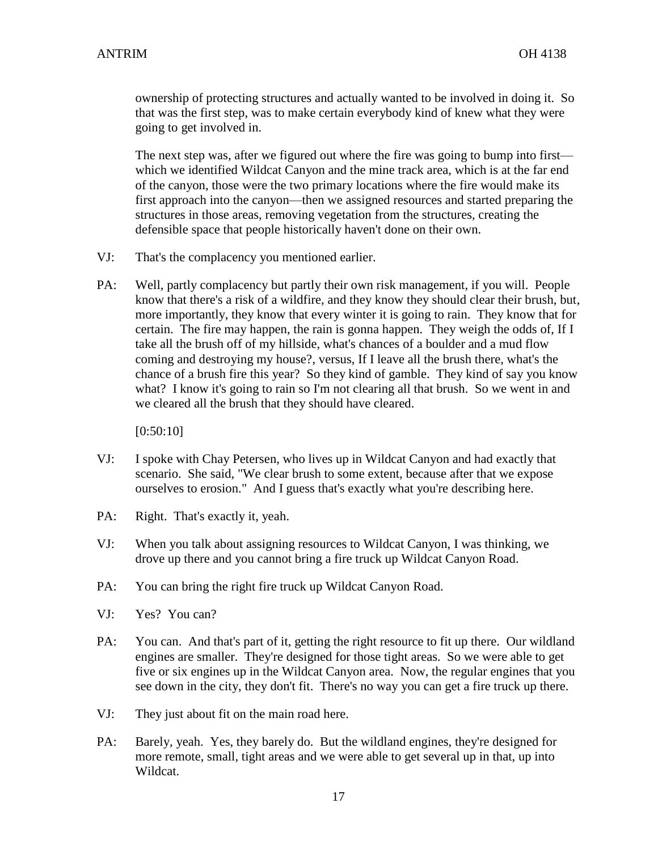ownership of protecting structures and actually wanted to be involved in doing it. So that was the first step, was to make certain everybody kind of knew what they were going to get involved in.

The next step was, after we figured out where the fire was going to bump into first which we identified Wildcat Canyon and the mine track area, which is at the far end of the canyon, those were the two primary locations where the fire would make its first approach into the canyon—then we assigned resources and started preparing the structures in those areas, removing vegetation from the structures, creating the defensible space that people historically haven't done on their own.

- VJ: That's the complacency you mentioned earlier.
- PA: Well, partly complacency but partly their own risk management, if you will. People know that there's a risk of a wildfire, and they know they should clear their brush, but, more importantly, they know that every winter it is going to rain. They know that for certain. The fire may happen, the rain is gonna happen. They weigh the odds of, If I take all the brush off of my hillside, what's chances of a boulder and a mud flow coming and destroying my house?, versus, If I leave all the brush there, what's the chance of a brush fire this year? So they kind of gamble. They kind of say you know what? I know it's going to rain so I'm not clearing all that brush. So we went in and we cleared all the brush that they should have cleared.

[0:50:10]

- VJ: I spoke with Chay Petersen, who lives up in Wildcat Canyon and had exactly that scenario. She said, "We clear brush to some extent, because after that we expose ourselves to erosion." And I guess that's exactly what you're describing here.
- PA: Right. That's exactly it, yeah.
- VJ: When you talk about assigning resources to Wildcat Canyon, I was thinking, we drove up there and you cannot bring a fire truck up Wildcat Canyon Road.
- PA: You can bring the right fire truck up Wildcat Canyon Road.
- VJ: Yes? You can?
- PA: You can. And that's part of it, getting the right resource to fit up there. Our wildland engines are smaller. They're designed for those tight areas. So we were able to get five or six engines up in the Wildcat Canyon area. Now, the regular engines that you see down in the city, they don't fit. There's no way you can get a fire truck up there.
- VJ: They just about fit on the main road here.
- PA: Barely, yeah. Yes, they barely do. But the wildland engines, they're designed for more remote, small, tight areas and we were able to get several up in that, up into Wildcat.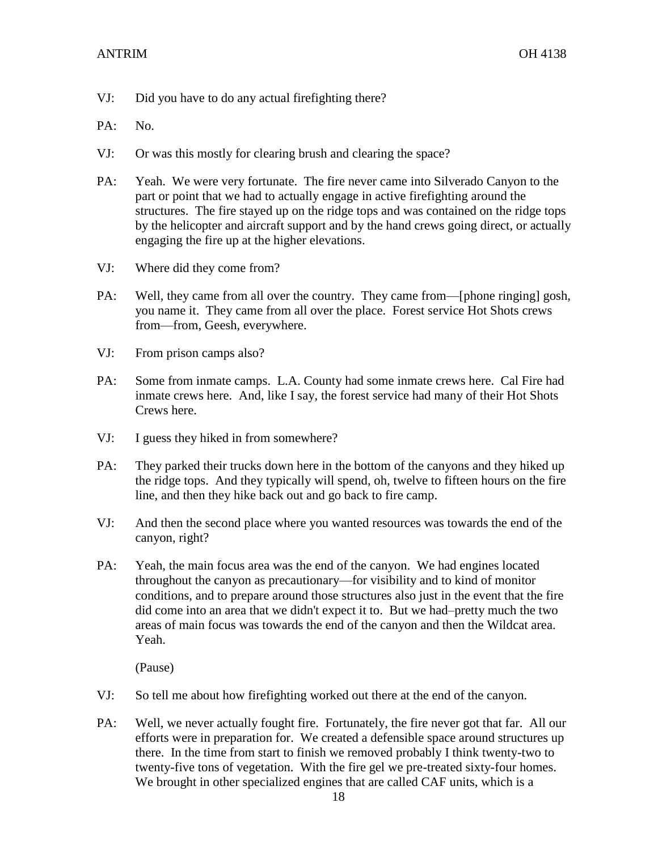- VJ: Did you have to do any actual firefighting there?
- PA: No.
- VJ: Or was this mostly for clearing brush and clearing the space?
- PA: Yeah. We were very fortunate. The fire never came into Silverado Canyon to the part or point that we had to actually engage in active firefighting around the structures. The fire stayed up on the ridge tops and was contained on the ridge tops by the helicopter and aircraft support and by the hand crews going direct, or actually engaging the fire up at the higher elevations.
- VJ: Where did they come from?
- PA: Well, they came from all over the country. They came from—[phone ringing] gosh, you name it. They came from all over the place. Forest service Hot Shots crews from—from, Geesh, everywhere.
- VJ: From prison camps also?
- PA: Some from inmate camps. L.A. County had some inmate crews here. Cal Fire had inmate crews here. And, like I say, the forest service had many of their Hot Shots Crews here.
- VJ: I guess they hiked in from somewhere?
- PA: They parked their trucks down here in the bottom of the canyons and they hiked up the ridge tops. And they typically will spend, oh, twelve to fifteen hours on the fire line, and then they hike back out and go back to fire camp.
- VJ: And then the second place where you wanted resources was towards the end of the canyon, right?
- PA: Yeah, the main focus area was the end of the canyon. We had engines located throughout the canyon as precautionary—for visibility and to kind of monitor conditions, and to prepare around those structures also just in the event that the fire did come into an area that we didn't expect it to. But we had–pretty much the two areas of main focus was towards the end of the canyon and then the Wildcat area. Yeah.

(Pause)

- VJ: So tell me about how firefighting worked out there at the end of the canyon.
- PA: Well, we never actually fought fire. Fortunately, the fire never got that far. All our efforts were in preparation for. We created a defensible space around structures up there. In the time from start to finish we removed probably I think twenty-two to twenty-five tons of vegetation. With the fire gel we pre-treated sixty-four homes. We brought in other specialized engines that are called CAF units, which is a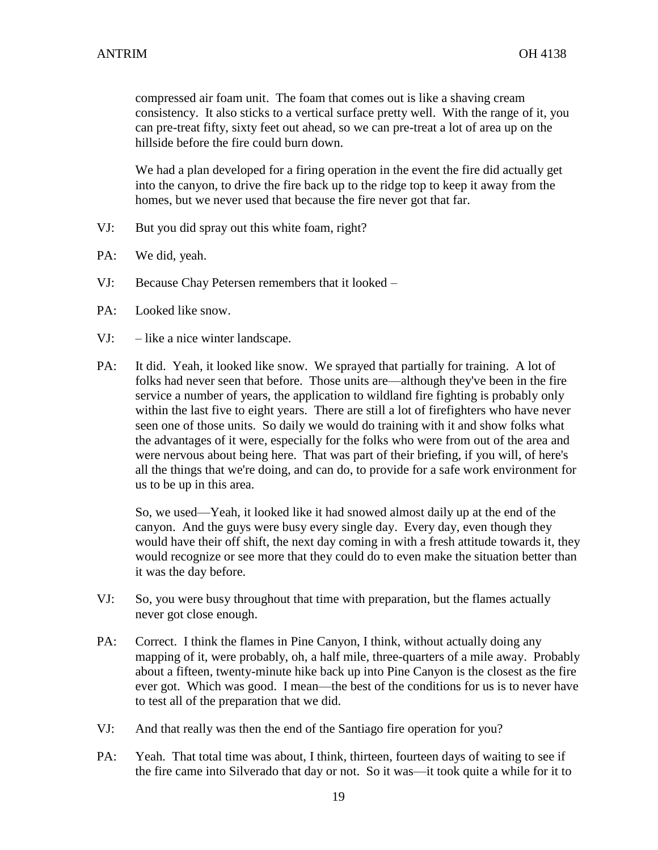compressed air foam unit. The foam that comes out is like a shaving cream consistency. It also sticks to a vertical surface pretty well. With the range of it, you can pre-treat fifty, sixty feet out ahead, so we can pre-treat a lot of area up on the hillside before the fire could burn down.

We had a plan developed for a firing operation in the event the fire did actually get into the canyon, to drive the fire back up to the ridge top to keep it away from the homes, but we never used that because the fire never got that far.

- VJ: But you did spray out this white foam, right?
- PA: We did, yeah.
- VJ: Because Chay Petersen remembers that it looked –
- PA: Looked like snow.
- VJ: like a nice winter landscape.
- PA: It did. Yeah, it looked like snow. We sprayed that partially for training. A lot of folks had never seen that before. Those units are—although they've been in the fire service a number of years, the application to wildland fire fighting is probably only within the last five to eight years. There are still a lot of firefighters who have never seen one of those units. So daily we would do training with it and show folks what the advantages of it were, especially for the folks who were from out of the area and were nervous about being here. That was part of their briefing, if you will, of here's all the things that we're doing, and can do, to provide for a safe work environment for us to be up in this area.

So, we used—Yeah, it looked like it had snowed almost daily up at the end of the canyon. And the guys were busy every single day. Every day, even though they would have their off shift, the next day coming in with a fresh attitude towards it, they would recognize or see more that they could do to even make the situation better than it was the day before.

- VJ: So, you were busy throughout that time with preparation, but the flames actually never got close enough.
- PA: Correct. I think the flames in Pine Canyon, I think, without actually doing any mapping of it, were probably, oh, a half mile, three-quarters of a mile away. Probably about a fifteen, twenty-minute hike back up into Pine Canyon is the closest as the fire ever got. Which was good. I mean—the best of the conditions for us is to never have to test all of the preparation that we did.
- VJ: And that really was then the end of the Santiago fire operation for you?
- PA: Yeah. That total time was about, I think, thirteen, fourteen days of waiting to see if the fire came into Silverado that day or not. So it was—it took quite a while for it to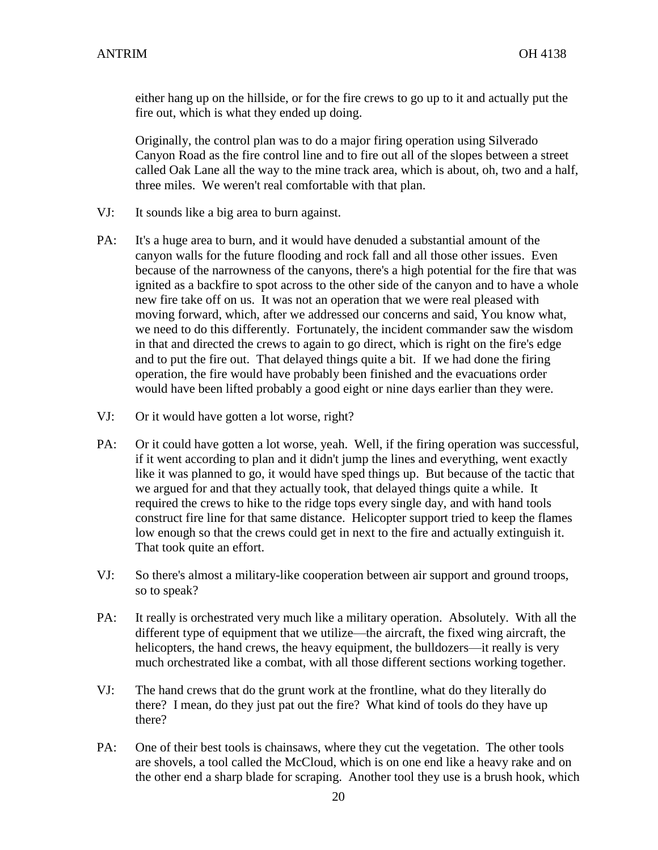either hang up on the hillside, or for the fire crews to go up to it and actually put the fire out, which is what they ended up doing.

Originally, the control plan was to do a major firing operation using Silverado Canyon Road as the fire control line and to fire out all of the slopes between a street called Oak Lane all the way to the mine track area, which is about, oh, two and a half, three miles. We weren't real comfortable with that plan.

- VJ: It sounds like a big area to burn against.
- PA: It's a huge area to burn, and it would have denuded a substantial amount of the canyon walls for the future flooding and rock fall and all those other issues. Even because of the narrowness of the canyons, there's a high potential for the fire that was ignited as a backfire to spot across to the other side of the canyon and to have a whole new fire take off on us. It was not an operation that we were real pleased with moving forward, which, after we addressed our concerns and said, You know what, we need to do this differently. Fortunately, the incident commander saw the wisdom in that and directed the crews to again to go direct, which is right on the fire's edge and to put the fire out. That delayed things quite a bit. If we had done the firing operation, the fire would have probably been finished and the evacuations order would have been lifted probably a good eight or nine days earlier than they were.
- VJ: Or it would have gotten a lot worse, right?
- PA: Or it could have gotten a lot worse, yeah. Well, if the firing operation was successful, if it went according to plan and it didn't jump the lines and everything, went exactly like it was planned to go, it would have sped things up. But because of the tactic that we argued for and that they actually took, that delayed things quite a while. It required the crews to hike to the ridge tops every single day, and with hand tools construct fire line for that same distance. Helicopter support tried to keep the flames low enough so that the crews could get in next to the fire and actually extinguish it. That took quite an effort.
- VJ: So there's almost a military-like cooperation between air support and ground troops, so to speak?
- PA: It really is orchestrated very much like a military operation. Absolutely. With all the different type of equipment that we utilize—the aircraft, the fixed wing aircraft, the helicopters, the hand crews, the heavy equipment, the bulldozers—it really is very much orchestrated like a combat, with all those different sections working together.
- VJ: The hand crews that do the grunt work at the frontline, what do they literally do there? I mean, do they just pat out the fire? What kind of tools do they have up there?
- PA: One of their best tools is chainsaws, where they cut the vegetation. The other tools are shovels, a tool called the McCloud, which is on one end like a heavy rake and on the other end a sharp blade for scraping. Another tool they use is a brush hook, which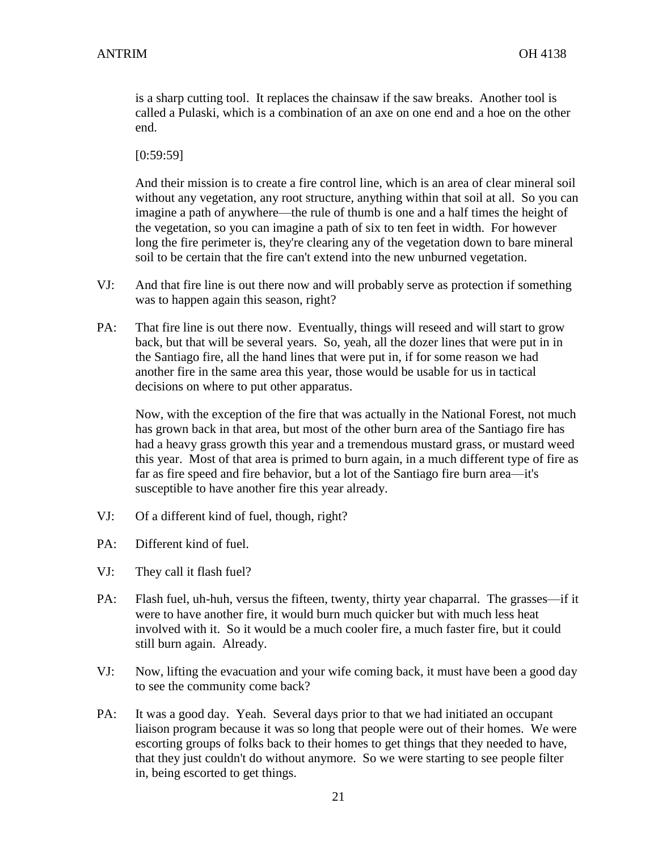is a sharp cutting tool. It replaces the chainsaw if the saw breaks. Another tool is called a Pulaski, which is a combination of an axe on one end and a hoe on the other end.

[0:59:59]

And their mission is to create a fire control line, which is an area of clear mineral soil without any vegetation, any root structure, anything within that soil at all. So you can imagine a path of anywhere—the rule of thumb is one and a half times the height of the vegetation, so you can imagine a path of six to ten feet in width. For however long the fire perimeter is, they're clearing any of the vegetation down to bare mineral soil to be certain that the fire can't extend into the new unburned vegetation.

- VJ: And that fire line is out there now and will probably serve as protection if something was to happen again this season, right?
- PA: That fire line is out there now. Eventually, things will reseed and will start to grow back, but that will be several years. So, yeah, all the dozer lines that were put in in the Santiago fire, all the hand lines that were put in, if for some reason we had another fire in the same area this year, those would be usable for us in tactical decisions on where to put other apparatus.

Now, with the exception of the fire that was actually in the National Forest, not much has grown back in that area, but most of the other burn area of the Santiago fire has had a heavy grass growth this year and a tremendous mustard grass, or mustard weed this year. Most of that area is primed to burn again, in a much different type of fire as far as fire speed and fire behavior, but a lot of the Santiago fire burn area—it's susceptible to have another fire this year already.

- VJ: Of a different kind of fuel, though, right?
- PA: Different kind of fuel.
- VJ: They call it flash fuel?
- PA: Flash fuel, uh-huh, versus the fifteen, twenty, thirty year chaparral. The grasses—if it were to have another fire, it would burn much quicker but with much less heat involved with it. So it would be a much cooler fire, a much faster fire, but it could still burn again. Already.
- VJ: Now, lifting the evacuation and your wife coming back, it must have been a good day to see the community come back?
- PA: It was a good day. Yeah. Several days prior to that we had initiated an occupant liaison program because it was so long that people were out of their homes. We were escorting groups of folks back to their homes to get things that they needed to have, that they just couldn't do without anymore. So we were starting to see people filter in, being escorted to get things.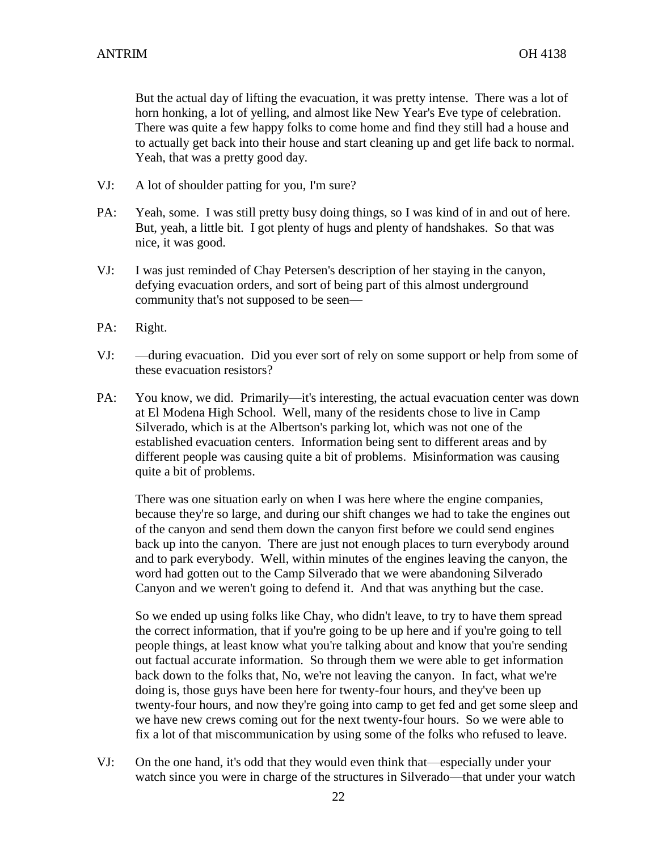But the actual day of lifting the evacuation, it was pretty intense. There was a lot of horn honking, a lot of yelling, and almost like New Year's Eve type of celebration. There was quite a few happy folks to come home and find they still had a house and to actually get back into their house and start cleaning up and get life back to normal. Yeah, that was a pretty good day.

- VJ: A lot of shoulder patting for you, I'm sure?
- PA: Yeah, some. I was still pretty busy doing things, so I was kind of in and out of here. But, yeah, a little bit. I got plenty of hugs and plenty of handshakes. So that was nice, it was good.
- VJ: I was just reminded of Chay Petersen's description of her staying in the canyon, defying evacuation orders, and sort of being part of this almost underground community that's not supposed to be seen—
- PA: Right.
- VJ: —during evacuation. Did you ever sort of rely on some support or help from some of these evacuation resistors?
- PA: You know, we did. Primarily—it's interesting, the actual evacuation center was down at El Modena High School. Well, many of the residents chose to live in Camp Silverado, which is at the Albertson's parking lot, which was not one of the established evacuation centers. Information being sent to different areas and by different people was causing quite a bit of problems. Misinformation was causing quite a bit of problems.

There was one situation early on when I was here where the engine companies, because they're so large, and during our shift changes we had to take the engines out of the canyon and send them down the canyon first before we could send engines back up into the canyon. There are just not enough places to turn everybody around and to park everybody. Well, within minutes of the engines leaving the canyon, the word had gotten out to the Camp Silverado that we were abandoning Silverado Canyon and we weren't going to defend it. And that was anything but the case.

So we ended up using folks like Chay, who didn't leave, to try to have them spread the correct information, that if you're going to be up here and if you're going to tell people things, at least know what you're talking about and know that you're sending out factual accurate information. So through them we were able to get information back down to the folks that, No, we're not leaving the canyon. In fact, what we're doing is, those guys have been here for twenty-four hours, and they've been up twenty-four hours, and now they're going into camp to get fed and get some sleep and we have new crews coming out for the next twenty-four hours. So we were able to fix a lot of that miscommunication by using some of the folks who refused to leave.

VJ: On the one hand, it's odd that they would even think that—especially under your watch since you were in charge of the structures in Silverado—that under your watch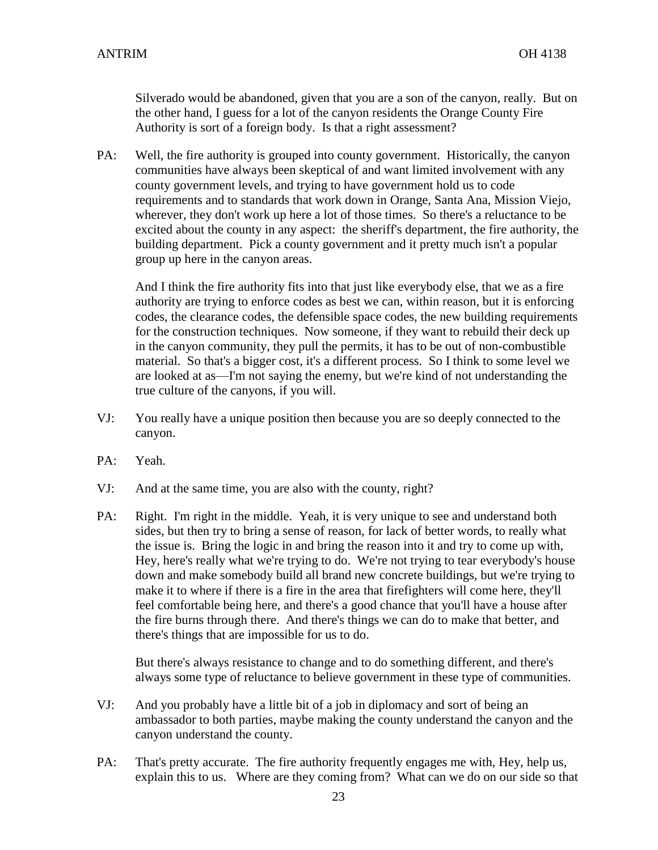Silverado would be abandoned, given that you are a son of the canyon, really. But on the other hand, I guess for a lot of the canyon residents the Orange County Fire Authority is sort of a foreign body. Is that a right assessment?

PA: Well, the fire authority is grouped into county government. Historically, the canyon communities have always been skeptical of and want limited involvement with any county government levels, and trying to have government hold us to code requirements and to standards that work down in Orange, Santa Ana, Mission Viejo, wherever, they don't work up here a lot of those times. So there's a reluctance to be excited about the county in any aspect: the sheriff's department, the fire authority, the building department. Pick a county government and it pretty much isn't a popular group up here in the canyon areas.

And I think the fire authority fits into that just like everybody else, that we as a fire authority are trying to enforce codes as best we can, within reason, but it is enforcing codes, the clearance codes, the defensible space codes, the new building requirements for the construction techniques. Now someone, if they want to rebuild their deck up in the canyon community, they pull the permits, it has to be out of non-combustible material. So that's a bigger cost, it's a different process. So I think to some level we are looked at as—I'm not saying the enemy, but we're kind of not understanding the true culture of the canyons, if you will.

- VJ: You really have a unique position then because you are so deeply connected to the canyon.
- PA: Yeah.
- VJ: And at the same time, you are also with the county, right?
- PA: Right. I'm right in the middle. Yeah, it is very unique to see and understand both sides, but then try to bring a sense of reason, for lack of better words, to really what the issue is. Bring the logic in and bring the reason into it and try to come up with, Hey, here's really what we're trying to do. We're not trying to tear everybody's house down and make somebody build all brand new concrete buildings, but we're trying to make it to where if there is a fire in the area that firefighters will come here, they'll feel comfortable being here, and there's a good chance that you'll have a house after the fire burns through there. And there's things we can do to make that better, and there's things that are impossible for us to do.

But there's always resistance to change and to do something different, and there's always some type of reluctance to believe government in these type of communities.

- VJ: And you probably have a little bit of a job in diplomacy and sort of being an ambassador to both parties, maybe making the county understand the canyon and the canyon understand the county.
- PA: That's pretty accurate. The fire authority frequently engages me with, Hey, help us, explain this to us. Where are they coming from? What can we do on our side so that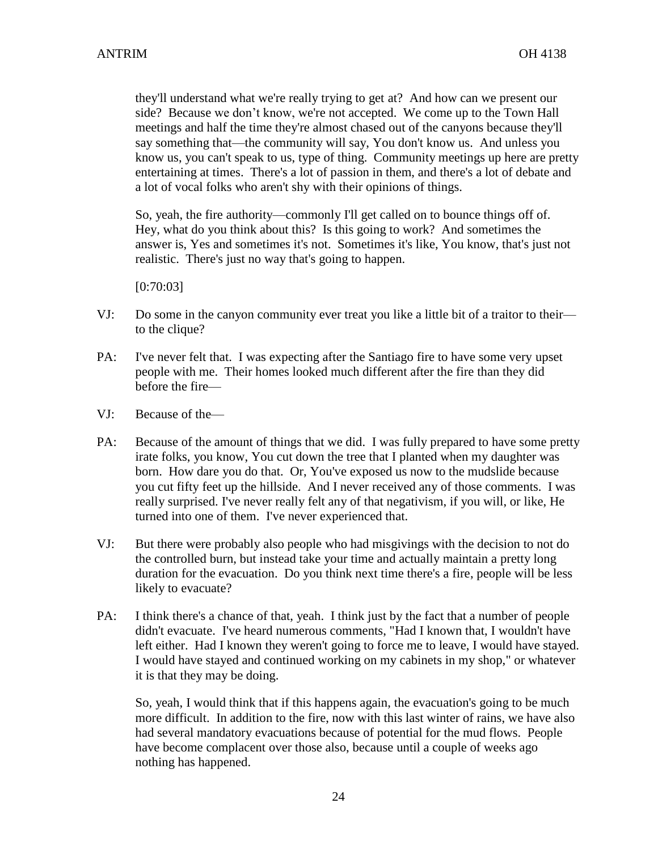they'll understand what we're really trying to get at? And how can we present our side? Because we don't know, we're not accepted. We come up to the Town Hall meetings and half the time they're almost chased out of the canyons because they'll say something that—the community will say, You don't know us. And unless you know us, you can't speak to us, type of thing. Community meetings up here are pretty entertaining at times. There's a lot of passion in them, and there's a lot of debate and a lot of vocal folks who aren't shy with their opinions of things.

So, yeah, the fire authority—commonly I'll get called on to bounce things off of. Hey, what do you think about this? Is this going to work? And sometimes the answer is, Yes and sometimes it's not. Sometimes it's like, You know, that's just not realistic. There's just no way that's going to happen.

[0:70:03]

- VJ: Do some in the canyon community ever treat you like a little bit of a traitor to their to the clique?
- PA: I've never felt that. I was expecting after the Santiago fire to have some very upset people with me. Their homes looked much different after the fire than they did before the fire—
- VJ: Because of the—
- PA: Because of the amount of things that we did. I was fully prepared to have some pretty irate folks, you know, You cut down the tree that I planted when my daughter was born. How dare you do that. Or, You've exposed us now to the mudslide because you cut fifty feet up the hillside. And I never received any of those comments. I was really surprised. I've never really felt any of that negativism, if you will, or like, He turned into one of them. I've never experienced that.
- VJ: But there were probably also people who had misgivings with the decision to not do the controlled burn, but instead take your time and actually maintain a pretty long duration for the evacuation. Do you think next time there's a fire, people will be less likely to evacuate?
- PA: I think there's a chance of that, yeah. I think just by the fact that a number of people didn't evacuate. I've heard numerous comments, "Had I known that, I wouldn't have left either. Had I known they weren't going to force me to leave, I would have stayed. I would have stayed and continued working on my cabinets in my shop," or whatever it is that they may be doing.

So, yeah, I would think that if this happens again, the evacuation's going to be much more difficult. In addition to the fire, now with this last winter of rains, we have also had several mandatory evacuations because of potential for the mud flows. People have become complacent over those also, because until a couple of weeks ago nothing has happened.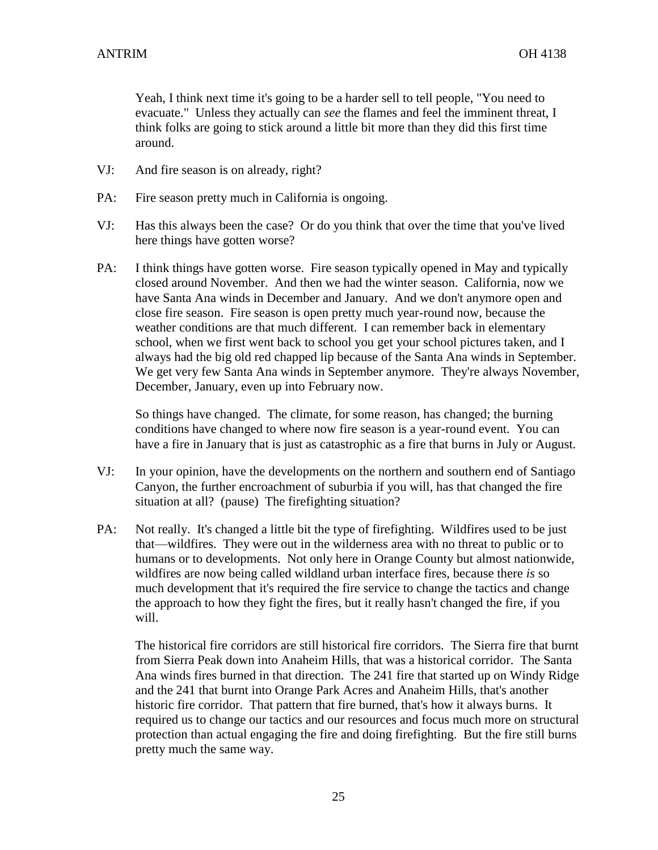Yeah, I think next time it's going to be a harder sell to tell people, "You need to evacuate." Unless they actually can *see* the flames and feel the imminent threat, I think folks are going to stick around a little bit more than they did this first time around.

- VJ: And fire season is on already, right?
- PA: Fire season pretty much in California is ongoing.
- VJ: Has this always been the case? Or do you think that over the time that you've lived here things have gotten worse?
- PA: I think things have gotten worse. Fire season typically opened in May and typically closed around November. And then we had the winter season. California, now we have Santa Ana winds in December and January. And we don't anymore open and close fire season. Fire season is open pretty much year-round now, because the weather conditions are that much different. I can remember back in elementary school, when we first went back to school you get your school pictures taken, and I always had the big old red chapped lip because of the Santa Ana winds in September. We get very few Santa Ana winds in September anymore. They're always November, December, January, even up into February now.

So things have changed. The climate, for some reason, has changed; the burning conditions have changed to where now fire season is a year-round event. You can have a fire in January that is just as catastrophic as a fire that burns in July or August.

- VJ: In your opinion, have the developments on the northern and southern end of Santiago Canyon, the further encroachment of suburbia if you will, has that changed the fire situation at all? (pause) The firefighting situation?
- PA: Not really. It's changed a little bit the type of firefighting. Wildfires used to be just that—wildfires. They were out in the wilderness area with no threat to public or to humans or to developments. Not only here in Orange County but almost nationwide, wildfires are now being called wildland urban interface fires, because there *is* so much development that it's required the fire service to change the tactics and change the approach to how they fight the fires, but it really hasn't changed the fire, if you will.

The historical fire corridors are still historical fire corridors. The Sierra fire that burnt from Sierra Peak down into Anaheim Hills, that was a historical corridor. The Santa Ana winds fires burned in that direction. The 241 fire that started up on Windy Ridge and the 241 that burnt into Orange Park Acres and Anaheim Hills, that's another historic fire corridor. That pattern that fire burned, that's how it always burns. It required us to change our tactics and our resources and focus much more on structural protection than actual engaging the fire and doing firefighting. But the fire still burns pretty much the same way.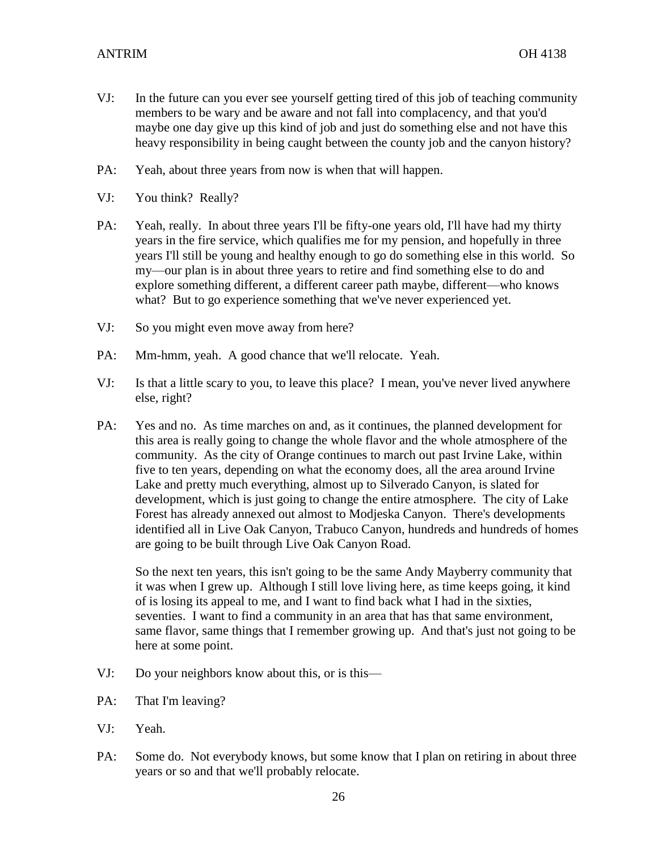- VJ: In the future can you ever see yourself getting tired of this job of teaching community members to be wary and be aware and not fall into complacency, and that you'd maybe one day give up this kind of job and just do something else and not have this heavy responsibility in being caught between the county job and the canyon history?
- PA: Yeah, about three years from now is when that will happen.
- VJ: You think? Really?
- PA: Yeah, really. In about three years I'll be fifty-one years old, I'll have had my thirty years in the fire service, which qualifies me for my pension, and hopefully in three years I'll still be young and healthy enough to go do something else in this world. So my—our plan is in about three years to retire and find something else to do and explore something different, a different career path maybe, different—who knows what? But to go experience something that we've never experienced yet.
- VJ: So you might even move away from here?
- PA: Mm-hmm, yeah. A good chance that we'll relocate. Yeah.
- VJ: Is that a little scary to you, to leave this place? I mean, you've never lived anywhere else, right?
- PA: Yes and no. As time marches on and, as it continues, the planned development for this area is really going to change the whole flavor and the whole atmosphere of the community. As the city of Orange continues to march out past Irvine Lake, within five to ten years, depending on what the economy does, all the area around Irvine Lake and pretty much everything, almost up to Silverado Canyon, is slated for development, which is just going to change the entire atmosphere. The city of Lake Forest has already annexed out almost to Modjeska Canyon. There's developments identified all in Live Oak Canyon, Trabuco Canyon, hundreds and hundreds of homes are going to be built through Live Oak Canyon Road.

So the next ten years, this isn't going to be the same Andy Mayberry community that it was when I grew up. Although I still love living here, as time keeps going, it kind of is losing its appeal to me, and I want to find back what I had in the sixties, seventies. I want to find a community in an area that has that same environment, same flavor, same things that I remember growing up. And that's just not going to be here at some point.

- VJ: Do your neighbors know about this, or is this—
- PA: That I'm leaving?
- VJ: Yeah.
- PA: Some do. Not everybody knows, but some know that I plan on retiring in about three years or so and that we'll probably relocate.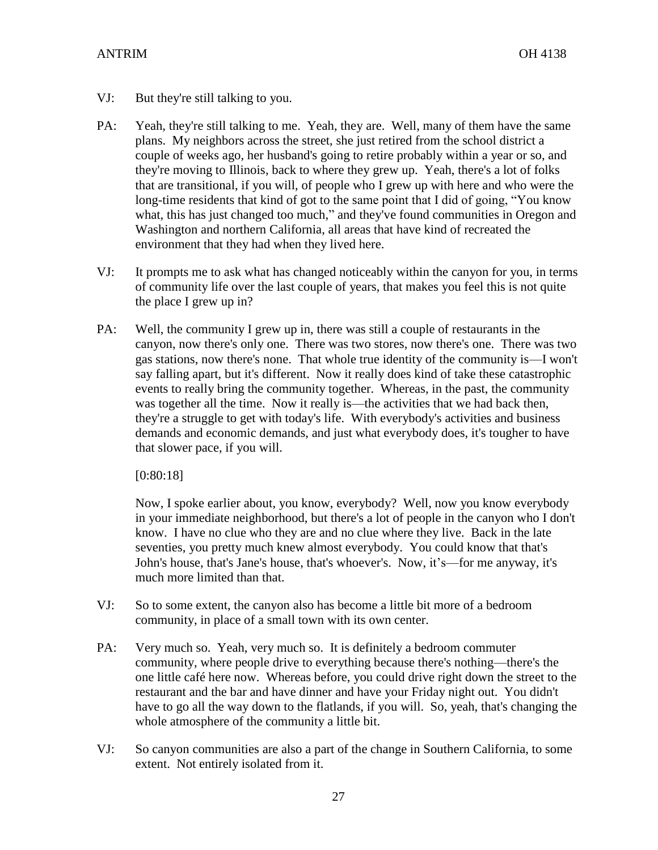- VJ: But they're still talking to you.
- PA: Yeah, they're still talking to me. Yeah, they are. Well, many of them have the same plans. My neighbors across the street, she just retired from the school district a couple of weeks ago, her husband's going to retire probably within a year or so, and they're moving to Illinois, back to where they grew up. Yeah, there's a lot of folks that are transitional, if you will, of people who I grew up with here and who were the long-time residents that kind of got to the same point that I did of going, "You know what, this has just changed too much," and they've found communities in Oregon and Washington and northern California, all areas that have kind of recreated the environment that they had when they lived here.
- VJ: It prompts me to ask what has changed noticeably within the canyon for you, in terms of community life over the last couple of years, that makes you feel this is not quite the place I grew up in?
- PA: Well, the community I grew up in, there was still a couple of restaurants in the canyon, now there's only one. There was two stores, now there's one. There was two gas stations, now there's none. That whole true identity of the community is—I won't say falling apart, but it's different. Now it really does kind of take these catastrophic events to really bring the community together. Whereas, in the past, the community was together all the time. Now it really is—the activities that we had back then, they're a struggle to get with today's life. With everybody's activities and business demands and economic demands, and just what everybody does, it's tougher to have that slower pace, if you will.

[0:80:18]

Now, I spoke earlier about, you know, everybody? Well, now you know everybody in your immediate neighborhood, but there's a lot of people in the canyon who I don't know. I have no clue who they are and no clue where they live. Back in the late seventies, you pretty much knew almost everybody. You could know that that's John's house, that's Jane's house, that's whoever's. Now, it's—for me anyway, it's much more limited than that.

- VJ: So to some extent, the canyon also has become a little bit more of a bedroom community, in place of a small town with its own center.
- PA: Very much so. Yeah, very much so. It is definitely a bedroom commuter community, where people drive to everything because there's nothing—there's the one little café here now. Whereas before, you could drive right down the street to the restaurant and the bar and have dinner and have your Friday night out. You didn't have to go all the way down to the flatlands, if you will. So, yeah, that's changing the whole atmosphere of the community a little bit.
- VJ: So canyon communities are also a part of the change in Southern California, to some extent. Not entirely isolated from it.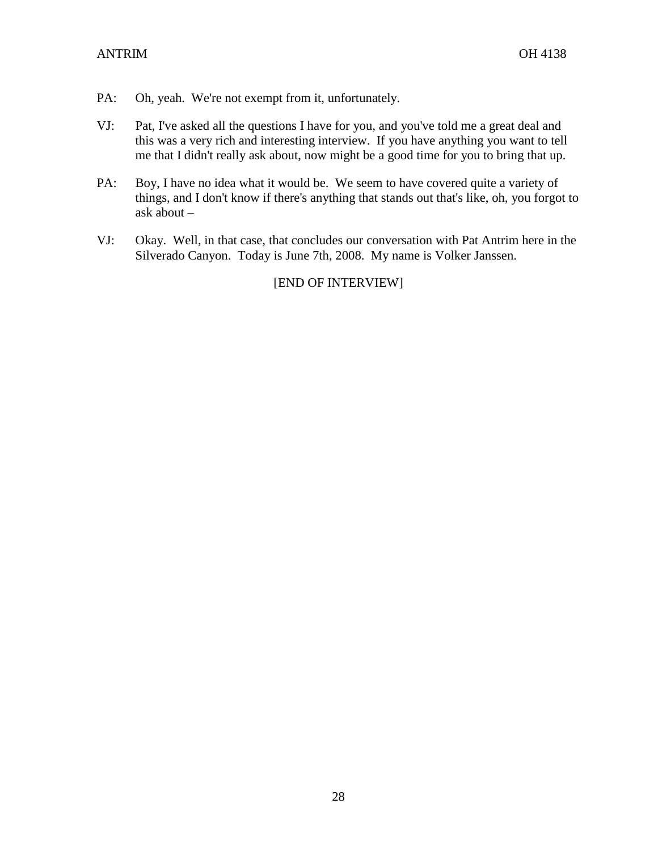- PA: Oh, yeah. We're not exempt from it, unfortunately.
- VJ: Pat, I've asked all the questions I have for you, and you've told me a great deal and this was a very rich and interesting interview. If you have anything you want to tell me that I didn't really ask about, now might be a good time for you to bring that up.
- PA: Boy, I have no idea what it would be. We seem to have covered quite a variety of things, and I don't know if there's anything that stands out that's like, oh, you forgot to ask about –
- VJ: Okay. Well, in that case, that concludes our conversation with Pat Antrim here in the Silverado Canyon. Today is June 7th, 2008. My name is Volker Janssen.

# [END OF INTERVIEW]